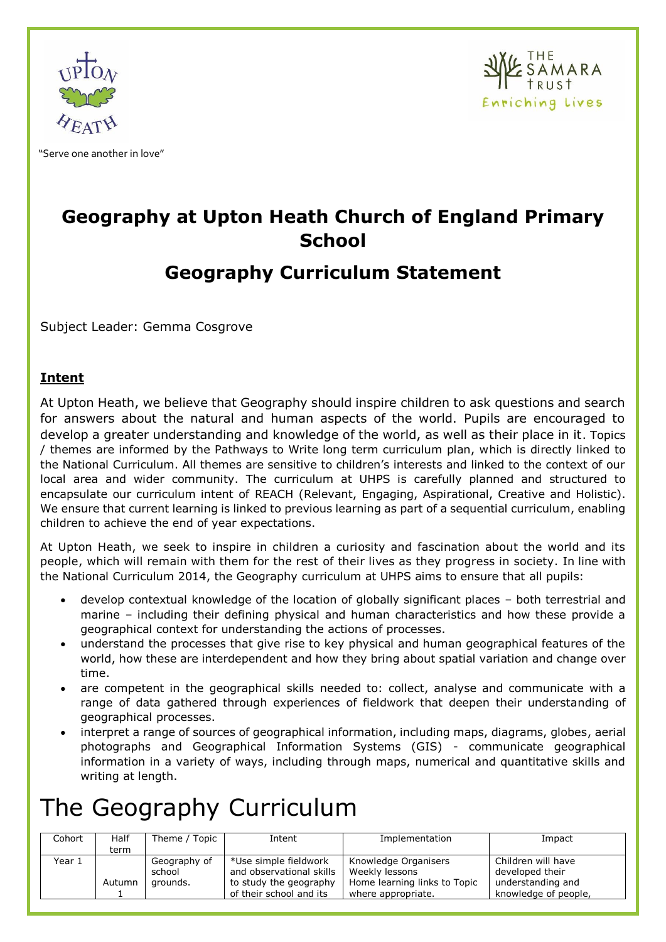

"Serve one another in love"



## **Geography at Upton Heath Church of England Primary School**

## **Geography Curriculum Statement**

Subject Leader: Gemma Cosgrove

### **Intent**

At Upton Heath, we believe that Geography should inspire children to ask questions and search for answers about the natural and human aspects of the world. Pupils are encouraged to develop a greater understanding and knowledge of the world, as well as their place in it. Topics / themes are informed by the Pathways to Write long term curriculum plan, which is directly linked to the National Curriculum. All themes are sensitive to children's interests and linked to the context of our local area and wider community. The curriculum at UHPS is carefully planned and structured to encapsulate our curriculum intent of REACH (Relevant, Engaging, Aspirational, Creative and Holistic). We ensure that current learning is linked to previous learning as part of a sequential curriculum, enabling children to achieve the end of year expectations.

At Upton Heath, we seek to inspire in children a curiosity and fascination about the world and its people, which will remain with them for the rest of their lives as they progress in society. In line with the National Curriculum 2014, the Geography curriculum at UHPS aims to ensure that all pupils:

- develop contextual knowledge of the location of globally significant places both terrestrial and marine – including their defining physical and human characteristics and how these provide a geographical context for understanding the actions of processes.
- understand the processes that give rise to key physical and human geographical features of the world, how these are interdependent and how they bring about spatial variation and change over time.
- are competent in the geographical skills needed to: collect, analyse and communicate with a range of data gathered through experiences of fieldwork that deepen their understanding of geographical processes.
- interpret a range of sources of geographical information, including maps, diagrams, globes, aerial photographs and Geographical Information Systems (GIS) - communicate geographical information in a variety of ways, including through maps, numerical and quantitative skills and writing at length.

# The Geography Curriculum

| Cohort | Half   | Theme / Topic                      | Intent                                                                      | Implementation                                                         | Impact                                                     |
|--------|--------|------------------------------------|-----------------------------------------------------------------------------|------------------------------------------------------------------------|------------------------------------------------------------|
|        | term   |                                    |                                                                             |                                                                        |                                                            |
| Year 1 | Autumn | Geography of<br>school<br>grounds. | *Use simple fieldwork<br>and observational skills<br>to study the geography | Knowledge Organisers<br>Weekly lessons<br>Home learning links to Topic | Children will have<br>developed their<br>understanding and |
|        |        |                                    | of their school and its                                                     | where appropriate.                                                     | knowledge of people,                                       |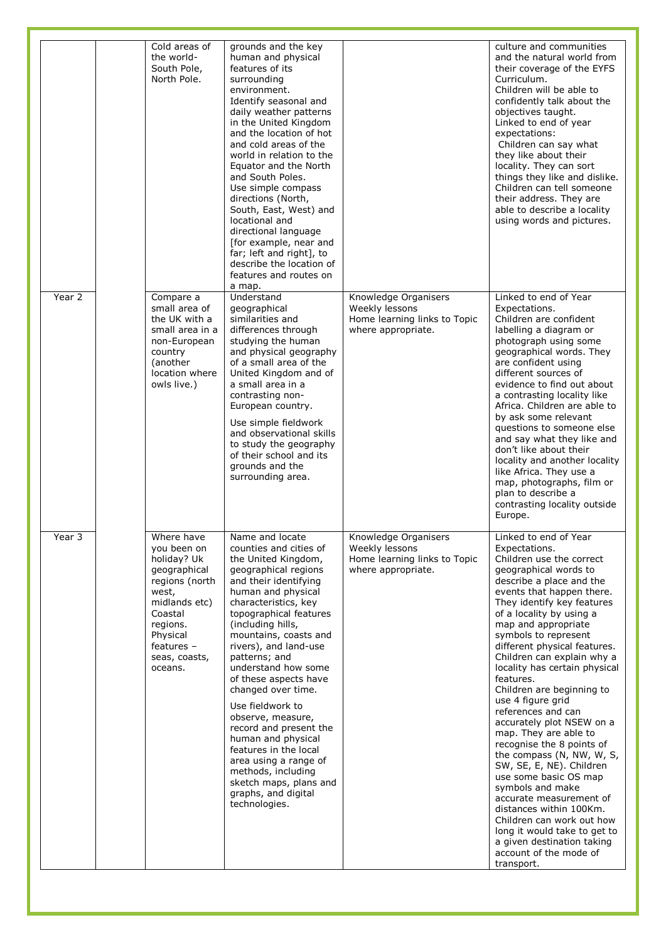|          | Cold areas of<br>the world-<br>South Pole,<br>North Pole.                                                                                                                           | grounds and the key<br>human and physical<br>features of its<br>surrounding<br>environment.<br>Identify seasonal and<br>daily weather patterns<br>in the United Kingdom<br>and the location of hot<br>and cold areas of the<br>world in relation to the<br>Equator and the North<br>and South Poles.<br>Use simple compass<br>directions (North,<br>South, East, West) and<br>locational and<br>directional language<br>[for example, near and<br>far; left and right], to<br>describe the location of<br>features and routes on<br>a map.                                                 |                                                                                              | culture and communities<br>and the natural world from<br>their coverage of the EYFS<br>Curriculum.<br>Children will be able to<br>confidently talk about the<br>objectives taught.<br>Linked to end of year<br>expectations:<br>Children can say what<br>they like about their<br>locality. They can sort<br>things they like and dislike.<br>Children can tell someone<br>their address. They are<br>able to describe a locality<br>using words and pictures.                                                                                                                                                                                                                                                                                                                                                                      |
|----------|-------------------------------------------------------------------------------------------------------------------------------------------------------------------------------------|--------------------------------------------------------------------------------------------------------------------------------------------------------------------------------------------------------------------------------------------------------------------------------------------------------------------------------------------------------------------------------------------------------------------------------------------------------------------------------------------------------------------------------------------------------------------------------------------|----------------------------------------------------------------------------------------------|-------------------------------------------------------------------------------------------------------------------------------------------------------------------------------------------------------------------------------------------------------------------------------------------------------------------------------------------------------------------------------------------------------------------------------------------------------------------------------------------------------------------------------------------------------------------------------------------------------------------------------------------------------------------------------------------------------------------------------------------------------------------------------------------------------------------------------------|
| Year 2   | Compare a<br>small area of<br>the UK with a<br>small area in a<br>non-European<br>country<br>(another<br>location where<br>owls live.)                                              | Understand<br>geographical<br>similarities and<br>differences through<br>studying the human<br>and physical geography<br>of a small area of the<br>United Kingdom and of<br>a small area in a<br>contrasting non-<br>European country.<br>Use simple fieldwork<br>and observational skills<br>to study the geography<br>of their school and its<br>grounds and the<br>surrounding area.                                                                                                                                                                                                    | Knowledge Organisers<br>Weekly lessons<br>Home learning links to Topic<br>where appropriate. | Linked to end of Year<br>Expectations.<br>Children are confident<br>labelling a diagram or<br>photograph using some<br>geographical words. They<br>are confident using<br>different sources of<br>evidence to find out about<br>a contrasting locality like<br>Africa. Children are able to<br>by ask some relevant<br>questions to someone else<br>and say what they like and<br>don't like about their<br>locality and another locality<br>like Africa. They use a<br>map, photographs, film or<br>plan to describe a<br>contrasting locality outside<br>Europe.                                                                                                                                                                                                                                                                  |
| $Year$ 3 | Where have<br>you been on<br>holiday? Uk<br>qeographical<br>regions (north<br>west,<br>midlands etc)<br>Coastal<br>regions.<br>Physical<br>features $-$<br>seas, coasts,<br>oceans. | Name and locate<br>counties and cities of<br>the United Kingdom,<br>geographical regions<br>and their identifying<br>human and physical<br>characteristics, key<br>topographical features<br>(including hills,<br>mountains, coasts and<br>rivers), and land-use<br>patterns; and<br>understand how some<br>of these aspects have<br>changed over time.<br>Use fieldwork to<br>observe, measure,<br>record and present the<br>human and physical<br>features in the local<br>area using a range of<br>methods, including<br>sketch maps, plans and<br>graphs, and digital<br>technologies. | Knowledge Organisers<br>Weekly lessons<br>Home learning links to Topic<br>where appropriate. | Linked to end of Year<br>Expectations.<br>Children use the correct<br>geographical words to<br>describe a place and the<br>events that happen there.<br>They identify key features<br>of a locality by using a<br>map and appropriate<br>symbols to represent<br>different physical features.<br>Children can explain why a<br>locality has certain physical<br>features.<br>Children are beginning to<br>use 4 figure grid<br>references and can<br>accurately plot NSEW on a<br>map. They are able to<br>recognise the 8 points of<br>the compass (N, NW, W, S,<br>SW, SE, E, NE). Children<br>use some basic OS map<br>symbols and make<br>accurate measurement of<br>distances within 100Km.<br>Children can work out how<br>long it would take to get to<br>a given destination taking<br>account of the mode of<br>transport. |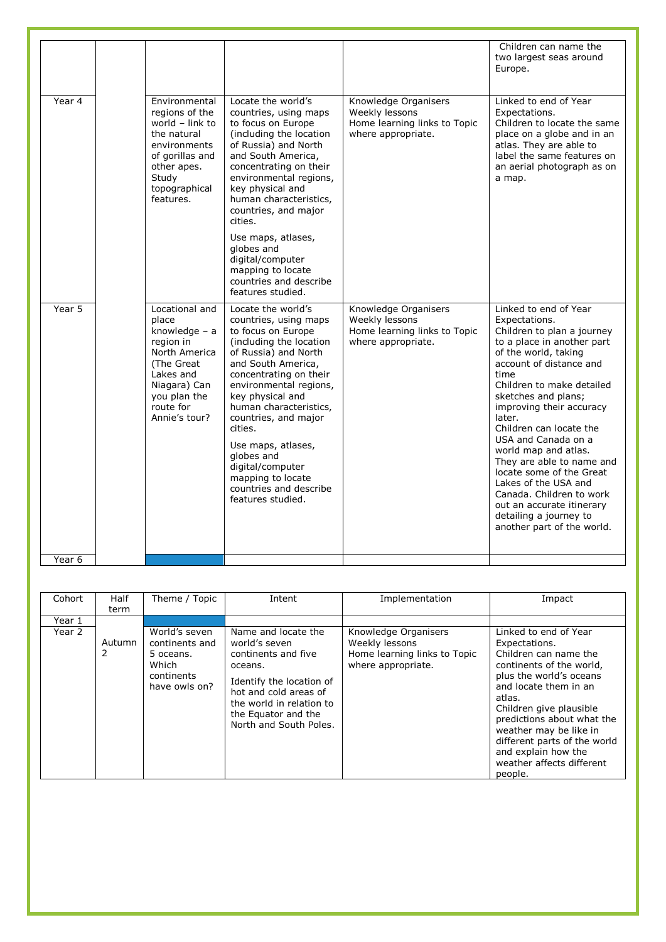|        |                                                                                                                                                                 |                                                                                                                                                                                                                                                                                                                                                                                                             |                                                                                              | Children can name the<br>two largest seas around<br>Europe.                                                                                                                                                                                                                                                                                                                                                                                                                                                                         |
|--------|-----------------------------------------------------------------------------------------------------------------------------------------------------------------|-------------------------------------------------------------------------------------------------------------------------------------------------------------------------------------------------------------------------------------------------------------------------------------------------------------------------------------------------------------------------------------------------------------|----------------------------------------------------------------------------------------------|-------------------------------------------------------------------------------------------------------------------------------------------------------------------------------------------------------------------------------------------------------------------------------------------------------------------------------------------------------------------------------------------------------------------------------------------------------------------------------------------------------------------------------------|
| Year 4 | Environmental<br>regions of the<br>world - link to<br>the natural<br>environments<br>of gorillas and<br>other apes.<br>Study<br>topographical<br>features.      | Locate the world's<br>countries, using maps<br>to focus on Europe<br>(including the location<br>of Russia) and North<br>and South America,<br>concentrating on their<br>environmental regions,<br>key physical and<br>human characteristics,<br>countries, and major<br>cities.<br>Use maps, atlases,<br>globes and<br>digital/computer<br>mapping to locate<br>countries and describe<br>features studied. | Knowledge Organisers<br>Weekly lessons<br>Home learning links to Topic<br>where appropriate. | Linked to end of Year<br>Expectations.<br>Children to locate the same<br>place on a globe and in an<br>atlas. They are able to<br>label the same features on<br>an aerial photograph as on<br>a map.                                                                                                                                                                                                                                                                                                                                |
| Year 5 | Locational and<br>place<br>knowledge - a<br>region in<br>North America<br>(The Great<br>Lakes and<br>Niagara) Can<br>you plan the<br>route for<br>Annie's tour? | Locate the world's<br>countries, using maps<br>to focus on Europe<br>(including the location<br>of Russia) and North<br>and South America,<br>concentrating on their<br>environmental regions,<br>key physical and<br>human characteristics,<br>countries, and major<br>cities.<br>Use maps, atlases,<br>globes and<br>digital/computer<br>mapping to locate<br>countries and describe<br>features studied. | Knowledge Organisers<br>Weekly lessons<br>Home learning links to Topic<br>where appropriate. | Linked to end of Year<br>Expectations.<br>Children to plan a journey<br>to a place in another part<br>of the world, taking<br>account of distance and<br>time<br>Children to make detailed<br>sketches and plans;<br>improving their accuracy<br>later.<br>Children can locate the<br>USA and Canada on a<br>world map and atlas.<br>They are able to name and<br>locate some of the Great<br>Lakes of the USA and<br>Canada. Children to work<br>out an accurate itinerary<br>detailing a journey to<br>another part of the world. |
| Year 6 |                                                                                                                                                                 |                                                                                                                                                                                                                                                                                                                                                                                                             |                                                                                              |                                                                                                                                                                                                                                                                                                                                                                                                                                                                                                                                     |

| Cohort | Half<br>term | Theme / Topic                                                                        | Intent                                                                                                                                                                                                   | Implementation                                                                               | Impact                                                                                                                                                                                                                                                                                                                                      |
|--------|--------------|--------------------------------------------------------------------------------------|----------------------------------------------------------------------------------------------------------------------------------------------------------------------------------------------------------|----------------------------------------------------------------------------------------------|---------------------------------------------------------------------------------------------------------------------------------------------------------------------------------------------------------------------------------------------------------------------------------------------------------------------------------------------|
| Year 1 |              |                                                                                      |                                                                                                                                                                                                          |                                                                                              |                                                                                                                                                                                                                                                                                                                                             |
| Year 2 | Autumn<br>2  | World's seven<br>continents and<br>5 oceans.<br>Which<br>continents<br>have owls on? | Name and locate the<br>world's seven<br>continents and five<br>oceans.<br>Identify the location of<br>hot and cold areas of<br>the world in relation to<br>the Equator and the<br>North and South Poles. | Knowledge Organisers<br>Weekly lessons<br>Home learning links to Topic<br>where appropriate. | Linked to end of Year<br>Expectations.<br>Children can name the<br>continents of the world,<br>plus the world's oceans<br>and locate them in an<br>atlas.<br>Children give plausible<br>predictions about what the<br>weather may be like in<br>different parts of the world<br>and explain how the<br>weather affects different<br>people. |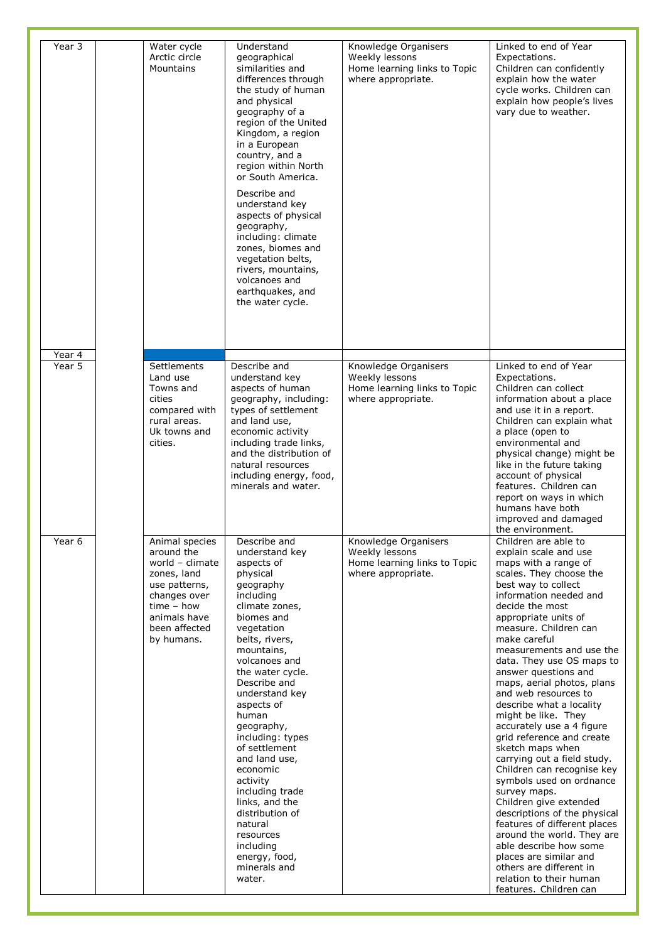| Year 3           | Water cycle<br>Arctic circle<br>Mountains                                                                                                                      | Understand<br>geographical<br>similarities and<br>differences through<br>the study of human<br>and physical<br>geography of a<br>region of the United<br>Kingdom, a region<br>in a European<br>country, and a<br>region within North<br>or South America.<br>Describe and<br>understand key<br>aspects of physical<br>geography,<br>including: climate<br>zones, biomes and<br>vegetation belts,<br>rivers, mountains,<br>volcanoes and<br>earthquakes, and<br>the water cycle.                                           | Knowledge Organisers<br>Weekly lessons<br>Home learning links to Topic<br>where appropriate. | Linked to end of Year<br>Expectations.<br>Children can confidently<br>explain how the water<br>cycle works. Children can<br>explain how people's lives<br>vary due to weather.                                                                                                                                                                                                                                                                                                                                                                                                                                                                                                                                                                                                                                                                                                                                                                                                                          |
|------------------|----------------------------------------------------------------------------------------------------------------------------------------------------------------|---------------------------------------------------------------------------------------------------------------------------------------------------------------------------------------------------------------------------------------------------------------------------------------------------------------------------------------------------------------------------------------------------------------------------------------------------------------------------------------------------------------------------|----------------------------------------------------------------------------------------------|---------------------------------------------------------------------------------------------------------------------------------------------------------------------------------------------------------------------------------------------------------------------------------------------------------------------------------------------------------------------------------------------------------------------------------------------------------------------------------------------------------------------------------------------------------------------------------------------------------------------------------------------------------------------------------------------------------------------------------------------------------------------------------------------------------------------------------------------------------------------------------------------------------------------------------------------------------------------------------------------------------|
| Year 4<br>Year 5 | Settlements<br>Land use<br>Towns and<br>cities<br>compared with<br>rural areas.<br>Uk towns and<br>cities.                                                     | Describe and<br>understand key<br>aspects of human<br>geography, including:<br>types of settlement<br>and land use,<br>economic activity<br>including trade links,<br>and the distribution of<br>natural resources<br>including energy, food,                                                                                                                                                                                                                                                                             | Knowledge Organisers<br>Weekly lessons<br>Home learning links to Topic<br>where appropriate. | Linked to end of Year<br>Expectations.<br>Children can collect<br>information about a place<br>and use it in a report.<br>Children can explain what<br>a place (open to<br>environmental and<br>physical change) might be<br>like in the future taking<br>account of physical                                                                                                                                                                                                                                                                                                                                                                                                                                                                                                                                                                                                                                                                                                                           |
| Year 6           | Animal species<br>around the<br>world - climate<br>zones, land<br>use patterns,<br>changes over<br>$time - how$<br>animals have<br>been affected<br>by humans. | minerals and water.<br>Describe and<br>understand key<br>aspects of<br>physical<br>geography<br>including<br>climate zones,<br>biomes and<br>vegetation<br>belts, rivers,<br>mountains,<br>volcanoes and<br>the water cycle.<br>Describe and<br>understand key<br>aspects of<br>human<br>geography,<br>including: types<br>of settlement<br>and land use,<br>economic<br>activity<br>including trade<br>links, and the<br>distribution of<br>natural<br>resources<br>including<br>energy, food,<br>minerals and<br>water. | Knowledge Organisers<br>Weekly lessons<br>Home learning links to Topic<br>where appropriate. | features. Children can<br>report on ways in which<br>humans have both<br>improved and damaged<br>the environment.<br>Children are able to<br>explain scale and use<br>maps with a range of<br>scales. They choose the<br>best way to collect<br>information needed and<br>decide the most<br>appropriate units of<br>measure. Children can<br>make careful<br>measurements and use the<br>data. They use OS maps to<br>answer questions and<br>maps, aerial photos, plans<br>and web resources to<br>describe what a locality<br>might be like. They<br>accurately use a 4 figure<br>grid reference and create<br>sketch maps when<br>carrying out a field study.<br>Children can recognise key<br>symbols used on ordnance<br>survey maps.<br>Children give extended<br>descriptions of the physical<br>features of different places<br>around the world. They are<br>able describe how some<br>places are similar and<br>others are different in<br>relation to their human<br>features. Children can |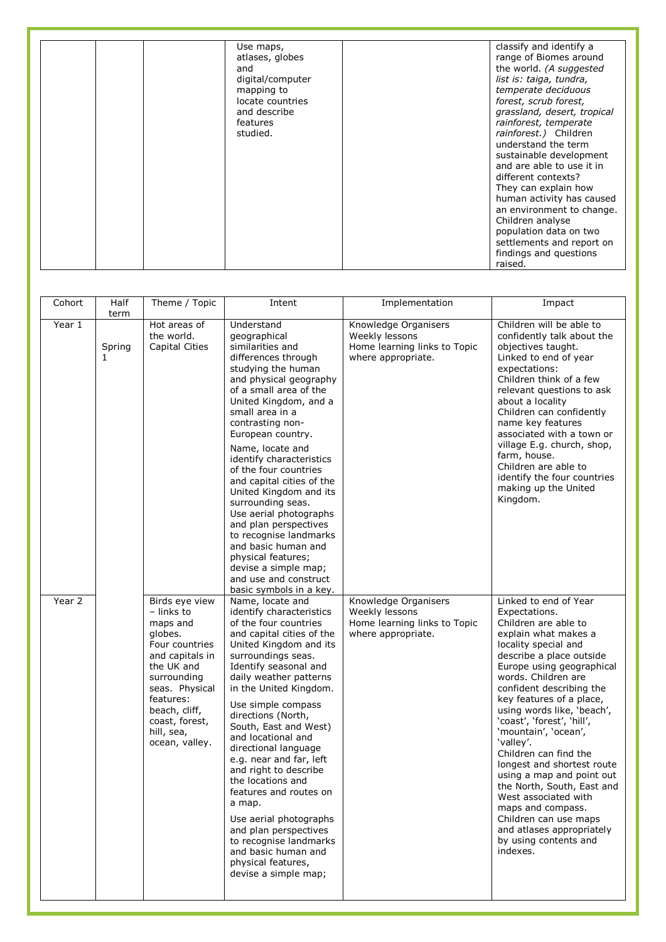| Use maps,        | classify and identify a     |
|------------------|-----------------------------|
| atlases, globes  | range of Biomes around      |
| and              | the world. (A suggested     |
| digital/computer | list is: taiga, tundra,     |
| mapping to       | temperate deciduous         |
| locate countries | forest, scrub forest,       |
| and describe     | grassland, desert, tropical |
| features         | rainforest, temperate       |
| studied.         | rainforest.) Children       |
|                  | understand the term         |
|                  | sustainable development     |
|                  | and are able to use it in   |
|                  | different contexts?         |
|                  | They can explain how        |
|                  | human activity has caused   |
|                  | an environment to change.   |
|                  | Children analyse            |
|                  | population data on two      |
|                  | settlements and report on   |
|                  | findings and questions      |
|                  | raised.                     |

| Cohort | Half<br>term | Theme / Topic                                                                                                                                                                                                           | Intent                                                                                                                                                                                                                                                                                                                                                                                                                                                                                                                                                                                                            | Implementation                                                                               | Impact                                                                                                                                                                                                                                                                                                                                                                                                                                                                                                                                                                                                            |
|--------|--------------|-------------------------------------------------------------------------------------------------------------------------------------------------------------------------------------------------------------------------|-------------------------------------------------------------------------------------------------------------------------------------------------------------------------------------------------------------------------------------------------------------------------------------------------------------------------------------------------------------------------------------------------------------------------------------------------------------------------------------------------------------------------------------------------------------------------------------------------------------------|----------------------------------------------------------------------------------------------|-------------------------------------------------------------------------------------------------------------------------------------------------------------------------------------------------------------------------------------------------------------------------------------------------------------------------------------------------------------------------------------------------------------------------------------------------------------------------------------------------------------------------------------------------------------------------------------------------------------------|
| Year 1 | Spring<br>1  | Hot areas of<br>the world.<br>Capital Cities                                                                                                                                                                            | Understand<br>geographical<br>similarities and<br>differences through<br>studying the human<br>and physical geography<br>of a small area of the<br>United Kingdom, and a<br>small area in a<br>contrasting non-<br>European country.<br>Name, locate and<br>identify characteristics<br>of the four countries<br>and capital cities of the<br>United Kingdom and its<br>surrounding seas.<br>Use aerial photographs<br>and plan perspectives<br>to recognise landmarks<br>and basic human and<br>physical features;<br>devise a simple map;<br>and use and construct<br>basic symbols in a key.                   | Knowledge Organisers<br>Weekly lessons<br>Home learning links to Topic<br>where appropriate. | Children will be able to<br>confidently talk about the<br>objectives taught.<br>Linked to end of year<br>expectations:<br>Children think of a few<br>relevant questions to ask<br>about a locality<br>Children can confidently<br>name key features<br>associated with a town or<br>village E.g. church, shop,<br>farm, house.<br>Children are able to<br>identify the four countries<br>making up the United<br>Kingdom.                                                                                                                                                                                         |
| Year 2 |              | Birds eye view<br>– links to<br>maps and<br>globes.<br>Four countries<br>and capitals in<br>the UK and<br>surrounding<br>seas. Physical<br>features:<br>beach, cliff,<br>coast, forest,<br>hill, sea,<br>ocean, valley. | Name, locate and<br>identify characteristics<br>of the four countries<br>and capital cities of the<br>United Kingdom and its<br>surroundings seas.<br>Identify seasonal and<br>daily weather patterns<br>in the United Kingdom.<br>Use simple compass<br>directions (North,<br>South, East and West)<br>and locational and<br>directional language<br>e.g. near and far, left<br>and right to describe<br>the locations and<br>features and routes on<br>a map.<br>Use aerial photographs<br>and plan perspectives<br>to recognise landmarks<br>and basic human and<br>physical features,<br>devise a simple map; | Knowledge Organisers<br>Weekly lessons<br>Home learning links to Topic<br>where appropriate. | Linked to end of Year<br>Expectations.<br>Children are able to<br>explain what makes a<br>locality special and<br>describe a place outside<br>Europe using geographical<br>words. Children are<br>confident describing the<br>key features of a place,<br>using words like, 'beach',<br>'coast', 'forest', 'hill',<br>'mountain', 'ocean',<br>'valley'.<br>Children can find the<br>longest and shortest route<br>using a map and point out<br>the North, South, East and<br>West associated with<br>maps and compass.<br>Children can use maps<br>and atlases appropriately<br>by using contents and<br>indexes. |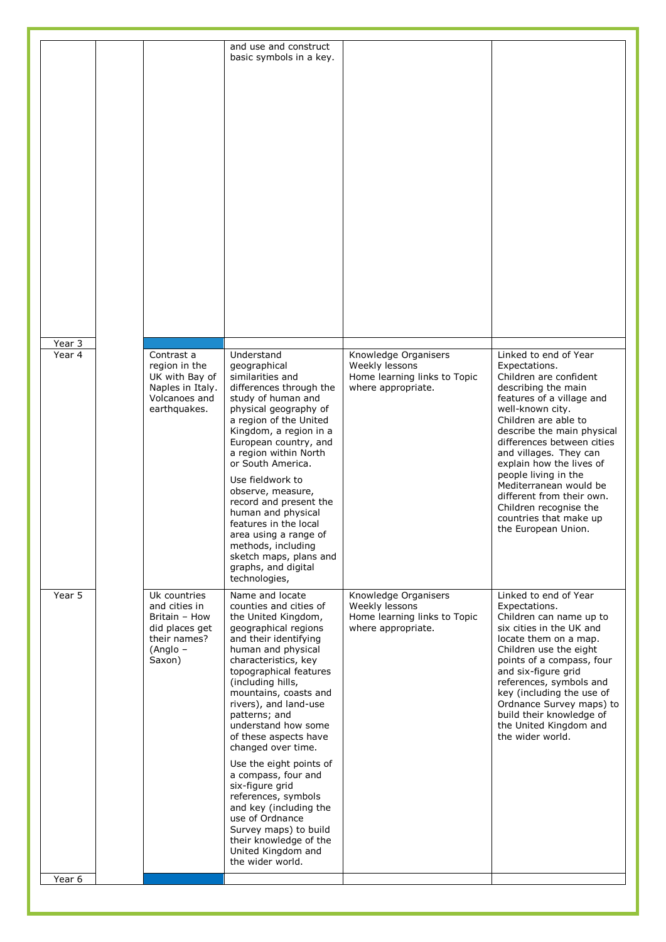|                               |                                                                                                          | and use and construct<br>basic symbols in a key.                                                                                                                                                                                                                                                                                                                                                                                                                                                                                                                                              |                                                                                              |                                                                                                                                                                                                                                                                                                                                                                                                                                              |
|-------------------------------|----------------------------------------------------------------------------------------------------------|-----------------------------------------------------------------------------------------------------------------------------------------------------------------------------------------------------------------------------------------------------------------------------------------------------------------------------------------------------------------------------------------------------------------------------------------------------------------------------------------------------------------------------------------------------------------------------------------------|----------------------------------------------------------------------------------------------|----------------------------------------------------------------------------------------------------------------------------------------------------------------------------------------------------------------------------------------------------------------------------------------------------------------------------------------------------------------------------------------------------------------------------------------------|
| Year $\overline{3}$<br>Year 4 | Contrast a<br>region in the<br>UK with Bay of<br>Naples in Italy.<br>Volcanoes and<br>earthquakes.       | Understand<br>geographical<br>similarities and<br>differences through the<br>study of human and<br>physical geography of<br>a region of the United<br>Kingdom, a region in a<br>European country, and<br>a region within North<br>or South America.<br>Use fieldwork to<br>observe, measure,<br>record and present the<br>human and physical<br>features in the local<br>area using a range of<br>methods, including<br>sketch maps, plans and<br>graphs, and digital<br>technologies,                                                                                                        | Knowledge Organisers<br>Weekly lessons<br>Home learning links to Topic<br>where appropriate. | Linked to end of Year<br>Expectations.<br>Children are confident<br>describing the main<br>features of a village and<br>well-known city.<br>Children are able to<br>describe the main physical<br>differences between cities<br>and villages. They can<br>explain how the lives of<br>people living in the<br>Mediterranean would be<br>different from their own.<br>Children recognise the<br>countries that make up<br>the European Union. |
| Year 5<br>Year 6              | Uk countries<br>and cities in<br>Britain - How<br>did places get<br>their names?<br>$(Anglo -$<br>Saxon) | Name and locate<br>counties and cities of<br>the United Kingdom,<br>geographical regions<br>and their identifying<br>human and physical<br>characteristics, key<br>topographical features<br>(including hills,<br>mountains, coasts and<br>rivers), and land-use<br>patterns; and<br>understand how some<br>of these aspects have<br>changed over time.<br>Use the eight points of<br>a compass, four and<br>six-figure grid<br>references, symbols<br>and key (including the<br>use of Ordnance<br>Survey maps) to build<br>their knowledge of the<br>United Kingdom and<br>the wider world. | Knowledge Organisers<br>Weekly lessons<br>Home learning links to Topic<br>where appropriate. | Linked to end of Year<br>Expectations.<br>Children can name up to<br>six cities in the UK and<br>locate them on a map.<br>Children use the eight<br>points of a compass, four<br>and six-figure grid<br>references, symbols and<br>key (including the use of<br>Ordnance Survey maps) to<br>build their knowledge of<br>the United Kingdom and<br>the wider world.                                                                           |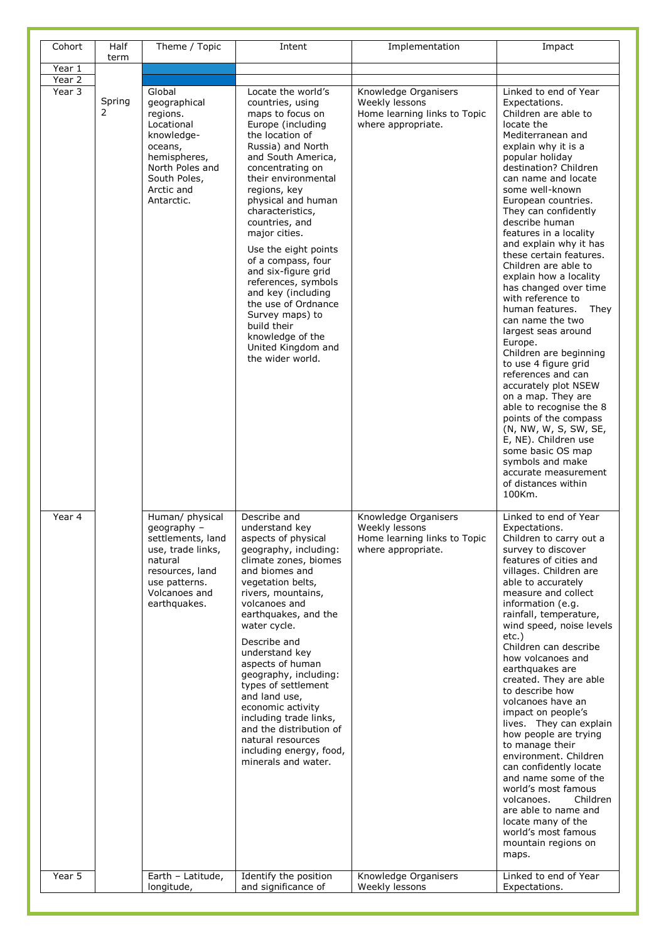| Cohort                     | Half<br>term | Theme / Topic                                                                                                                                                               | Intent                                                                                                                                                                                                                                                                                                                                                                                                                                                                                                                                         | Implementation                                                                                                       | Impact                                                                                                                                                                                                                                                                                                                                                                                                                                                                                                                                                                                                                                                                                                                                                                                                                                                                                                |
|----------------------------|--------------|-----------------------------------------------------------------------------------------------------------------------------------------------------------------------------|------------------------------------------------------------------------------------------------------------------------------------------------------------------------------------------------------------------------------------------------------------------------------------------------------------------------------------------------------------------------------------------------------------------------------------------------------------------------------------------------------------------------------------------------|----------------------------------------------------------------------------------------------------------------------|-------------------------------------------------------------------------------------------------------------------------------------------------------------------------------------------------------------------------------------------------------------------------------------------------------------------------------------------------------------------------------------------------------------------------------------------------------------------------------------------------------------------------------------------------------------------------------------------------------------------------------------------------------------------------------------------------------------------------------------------------------------------------------------------------------------------------------------------------------------------------------------------------------|
| Year 1                     |              |                                                                                                                                                                             |                                                                                                                                                                                                                                                                                                                                                                                                                                                                                                                                                |                                                                                                                      |                                                                                                                                                                                                                                                                                                                                                                                                                                                                                                                                                                                                                                                                                                                                                                                                                                                                                                       |
| Year 2<br>Year 3<br>Year 4 | Spring<br>2  | Global<br>geographical<br>regions.<br>Locational<br>knowledge-<br>oceans,<br>hemispheres,<br>North Poles and<br>South Poles,<br>Arctic and<br>Antarctic.<br>Human/ physical | Locate the world's<br>countries, using<br>maps to focus on<br>Europe (including<br>the location of<br>Russia) and North<br>and South America,<br>concentrating on<br>their environmental<br>regions, key<br>physical and human<br>characteristics,<br>countries, and<br>major cities.<br>Use the eight points<br>of a compass, four<br>and six-figure grid<br>references, symbols<br>and key (including<br>the use of Ordnance<br>Survey maps) to<br>build their<br>knowledge of the<br>United Kingdom and<br>the wider world.<br>Describe and | Knowledge Organisers<br>Weekly lessons<br>Home learning links to Topic<br>where appropriate.<br>Knowledge Organisers | Linked to end of Year<br>Expectations.<br>Children are able to<br>locate the<br>Mediterranean and<br>explain why it is a<br>popular holiday<br>destination? Children<br>can name and locate<br>some well-known<br>European countries.<br>They can confidently<br>describe human<br>features in a locality<br>and explain why it has<br>these certain features.<br>Children are able to<br>explain how a locality<br>has changed over time<br>with reference to<br>human features.<br>They<br>can name the two<br>largest seas around<br>Europe.<br>Children are beginning<br>to use 4 figure grid<br>references and can<br>accurately plot NSEW<br>on a map. They are<br>able to recognise the 8<br>points of the compass<br>(N, NW, W, S, SW, SE,<br>E, NE). Children use<br>some basic OS map<br>symbols and make<br>accurate measurement<br>of distances within<br>100Km.<br>Linked to end of Year |
|                            |              | qeography -<br>settlements, land<br>use, trade links,<br>natural<br>resources, land<br>use patterns.<br>Volcanoes and<br>earthquakes.                                       | understand key<br>aspects of physical<br>geography, including:<br>climate zones, biomes<br>and biomes and<br>vegetation belts,<br>rivers, mountains,<br>volcanoes and<br>earthquakes, and the<br>water cycle.<br>Describe and<br>understand key<br>aspects of human<br>geography, including:<br>types of settlement<br>and land use,<br>economic activity<br>including trade links,<br>and the distribution of<br>natural resources<br>including energy, food,<br>minerals and water.                                                          | Weekly lessons<br>Home learning links to Topic<br>where appropriate.                                                 | Expectations.<br>Children to carry out a<br>survey to discover<br>features of cities and<br>villages. Children are<br>able to accurately<br>measure and collect<br>information (e.g.<br>rainfall, temperature,<br>wind speed, noise levels<br>etc.)<br>Children can describe<br>how volcanoes and<br>earthquakes are<br>created. They are able<br>to describe how<br>volcanoes have an<br>impact on people's<br>lives. They can explain<br>how people are trying<br>to manage their<br>environment. Children<br>can confidently locate<br>and name some of the<br>world's most famous<br>Children<br>volcanoes.<br>are able to name and<br>locate many of the<br>world's most famous<br>mountain regions on<br>maps.                                                                                                                                                                                  |
| Year 5                     |              | Earth - Latitude,<br>longitude,                                                                                                                                             | Identify the position<br>and significance of                                                                                                                                                                                                                                                                                                                                                                                                                                                                                                   | Knowledge Organisers<br>Weekly lessons                                                                               | Linked to end of Year<br>Expectations.                                                                                                                                                                                                                                                                                                                                                                                                                                                                                                                                                                                                                                                                                                                                                                                                                                                                |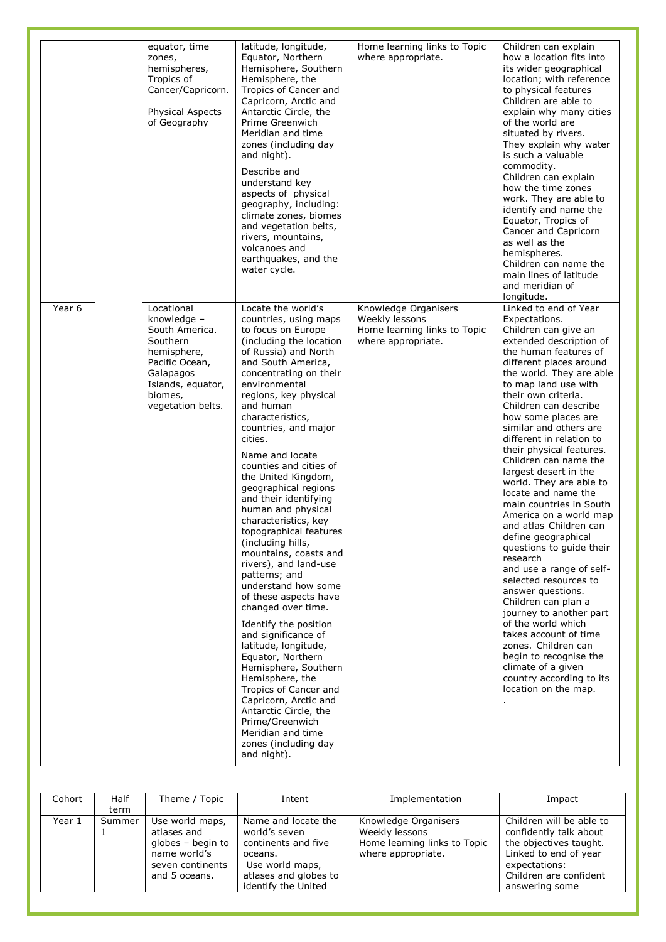|        | equator, time<br>zones,<br>hemispheres,<br>Tropics of<br>Cancer/Capricorn.<br>Physical Aspects<br>of Geography                                             | latitude, longitude,<br>Equator, Northern<br>Hemisphere, Southern<br>Hemisphere, the<br>Tropics of Cancer and<br>Capricorn, Arctic and<br>Antarctic Circle, the<br>Prime Greenwich<br>Meridian and time<br>zones (including day<br>and night).<br>Describe and<br>understand key<br>aspects of physical<br>geography, including:<br>climate zones, biomes<br>and vegetation belts,<br>rivers, mountains,<br>volcanoes and<br>earthquakes, and the<br>water cycle.                                                                                                                                                                                                                                                                                                                                                                                                                                                                               | Home learning links to Topic<br>where appropriate.                                           | Children can explain<br>how a location fits into<br>its wider geographical<br>location; with reference<br>to physical features<br>Children are able to<br>explain why many cities<br>of the world are<br>situated by rivers.<br>They explain why water<br>is such a valuable<br>commodity.<br>Children can explain<br>how the time zones<br>work. They are able to<br>identify and name the<br>Equator, Tropics of<br>Cancer and Capricorn<br>as well as the<br>hemispheres.<br>Children can name the<br>main lines of latitude<br>and meridian of<br>longitude.                                                                                                                                                                                                                                                                                                                                                   |
|--------|------------------------------------------------------------------------------------------------------------------------------------------------------------|-------------------------------------------------------------------------------------------------------------------------------------------------------------------------------------------------------------------------------------------------------------------------------------------------------------------------------------------------------------------------------------------------------------------------------------------------------------------------------------------------------------------------------------------------------------------------------------------------------------------------------------------------------------------------------------------------------------------------------------------------------------------------------------------------------------------------------------------------------------------------------------------------------------------------------------------------|----------------------------------------------------------------------------------------------|--------------------------------------------------------------------------------------------------------------------------------------------------------------------------------------------------------------------------------------------------------------------------------------------------------------------------------------------------------------------------------------------------------------------------------------------------------------------------------------------------------------------------------------------------------------------------------------------------------------------------------------------------------------------------------------------------------------------------------------------------------------------------------------------------------------------------------------------------------------------------------------------------------------------|
| Year 6 | Locational<br>knowledge -<br>South America.<br>Southern<br>hemisphere,<br>Pacific Ocean,<br>Galapagos<br>Islands, equator,<br>biomes,<br>vegetation belts. | Locate the world's<br>countries, using maps<br>to focus on Europe<br>(including the location<br>of Russia) and North<br>and South America,<br>concentrating on their<br>environmental<br>regions, key physical<br>and human<br>characteristics,<br>countries, and major<br>cities.<br>Name and locate<br>counties and cities of<br>the United Kingdom,<br>geographical regions<br>and their identifying<br>human and physical<br>characteristics, key<br>topographical features<br>(including hills,<br>mountains, coasts and<br>rivers), and land-use<br>patterns; and<br>understand how some<br>of these aspects have<br>changed over time.<br>Identify the position<br>and significance of<br>latitude, longitude,<br>Equator, Northern<br>Hemisphere, Southern<br>Hemisphere, the<br>Tropics of Cancer and<br>Capricorn, Arctic and<br>Antarctic Circle, the<br>Prime/Greenwich<br>Meridian and time<br>zones (including day<br>and night). | Knowledge Organisers<br>Weekly lessons<br>Home learning links to Topic<br>where appropriate. | Linked to end of Year<br>Expectations.<br>Children can give an<br>extended description of<br>the human features of<br>different places around<br>the world. They are able<br>to map land use with<br>their own criteria.<br>Children can describe<br>how some places are<br>similar and others are<br>different in relation to<br>their physical features.<br>Children can name the<br>largest desert in the<br>world. They are able to<br>locate and name the<br>main countries in South<br>America on a world map<br>and atlas Children can<br>define geographical<br>questions to guide their<br>research<br>and use a range of self-<br>selected resources to<br>answer questions.<br>Children can plan a<br>journey to another part<br>of the world which<br>takes account of time<br>zones. Children can<br>begin to recognise the<br>climate of a given<br>country according to its<br>location on the map. |

| Cohort | Half<br>term | Theme / Topic                                                                                            | Intent                                                                                                                                    | Implementation                                                                               | Impact                                                                                                                                                             |
|--------|--------------|----------------------------------------------------------------------------------------------------------|-------------------------------------------------------------------------------------------------------------------------------------------|----------------------------------------------------------------------------------------------|--------------------------------------------------------------------------------------------------------------------------------------------------------------------|
| Year 1 | Summer       | Use world maps,<br>atlases and<br>globes - begin to<br>name world's<br>seven continents<br>and 5 oceans. | Name and locate the<br>world's seven<br>continents and five<br>oceans.<br>Use world maps,<br>atlases and globes to<br>identify the United | Knowledge Organisers<br>Weekly lessons<br>Home learning links to Topic<br>where appropriate. | Children will be able to<br>confidently talk about<br>the objectives taught.<br>Linked to end of year<br>expectations:<br>Children are confident<br>answering some |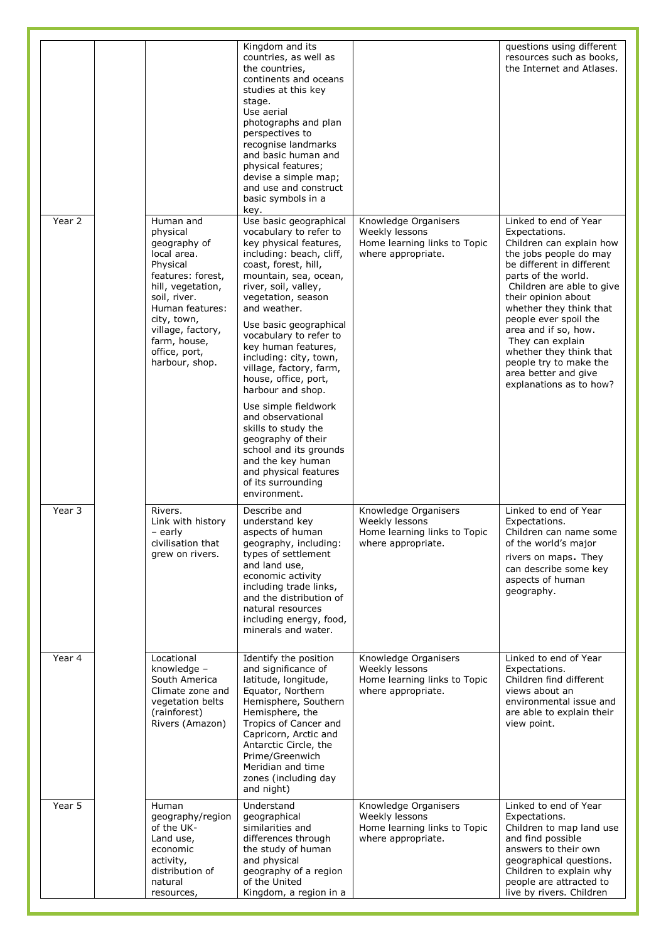|        |                                                                                                                                                                                                                                      | Kingdom and its                                                                                                                                                                                                                                                                                                                                                                                                                                 |                                                                                              | questions using different                                                                                                                                                                                                                                                                                                                                                                                    |
|--------|--------------------------------------------------------------------------------------------------------------------------------------------------------------------------------------------------------------------------------------|-------------------------------------------------------------------------------------------------------------------------------------------------------------------------------------------------------------------------------------------------------------------------------------------------------------------------------------------------------------------------------------------------------------------------------------------------|----------------------------------------------------------------------------------------------|--------------------------------------------------------------------------------------------------------------------------------------------------------------------------------------------------------------------------------------------------------------------------------------------------------------------------------------------------------------------------------------------------------------|
|        |                                                                                                                                                                                                                                      | countries, as well as<br>the countries,<br>continents and oceans<br>studies at this key<br>stage.<br>Use aerial<br>photographs and plan<br>perspectives to<br>recognise landmarks<br>and basic human and<br>physical features;<br>devise a simple map;<br>and use and construct<br>basic symbols in a<br>key.                                                                                                                                   |                                                                                              | resources such as books,<br>the Internet and Atlases.                                                                                                                                                                                                                                                                                                                                                        |
| Year 2 | Human and<br>physical<br>geography of<br>local area.<br>Physical<br>features: forest,<br>hill, vegetation,<br>soil, river.<br>Human features:<br>city, town,<br>village, factory,<br>farm, house,<br>office, port,<br>harbour, shop. | Use basic geographical<br>vocabulary to refer to<br>key physical features,<br>including: beach, cliff,<br>coast, forest, hill,<br>mountain, sea, ocean,<br>river, soil, valley,<br>vegetation, season<br>and weather.<br>Use basic geographical<br>vocabulary to refer to<br>key human features,<br>including: city, town,<br>village, factory, farm,<br>house, office, port,<br>harbour and shop.<br>Use simple fieldwork<br>and observational | Knowledge Organisers<br>Weekly lessons<br>Home learning links to Topic<br>where appropriate. | Linked to end of Year<br>Expectations.<br>Children can explain how<br>the jobs people do may<br>be different in different<br>parts of the world.<br>Children are able to give<br>their opinion about<br>whether they think that<br>people ever spoil the<br>area and if so, how.<br>They can explain<br>whether they think that<br>people try to make the<br>area better and give<br>explanations as to how? |
|        |                                                                                                                                                                                                                                      | skills to study the<br>geography of their<br>school and its grounds<br>and the key human<br>and physical features<br>of its surrounding<br>environment.                                                                                                                                                                                                                                                                                         |                                                                                              |                                                                                                                                                                                                                                                                                                                                                                                                              |
| Year 3 | Rivers.<br>Link with history<br>– early<br>civilisation that<br>grew on rivers.                                                                                                                                                      | Describe and<br>understand key<br>aspects of human<br>geography, including:<br>types of settlement<br>and land use,<br>economic activity<br>including trade links,<br>and the distribution of<br>natural resources<br>including energy, food,<br>minerals and water.                                                                                                                                                                            | Knowledge Organisers<br>Weekly lessons<br>Home learning links to Topic<br>where appropriate. | Linked to end of Year<br>Expectations.<br>Children can name some<br>of the world's major<br>rivers on maps. They<br>can describe some key<br>aspects of human<br>geography.                                                                                                                                                                                                                                  |
| Year 4 | Locational<br>knowledge -<br>South America<br>Climate zone and<br>vegetation belts<br>(rainforest)<br>Rivers (Amazon)                                                                                                                | Identify the position<br>and significance of<br>latitude, longitude,<br>Equator, Northern<br>Hemisphere, Southern<br>Hemisphere, the<br>Tropics of Cancer and<br>Capricorn, Arctic and<br>Antarctic Circle, the<br>Prime/Greenwich<br>Meridian and time<br>zones (including day<br>and night)                                                                                                                                                   | Knowledge Organisers<br>Weekly lessons<br>Home learning links to Topic<br>where appropriate. | Linked to end of Year<br>Expectations.<br>Children find different<br>views about an<br>environmental issue and<br>are able to explain their<br>view point.                                                                                                                                                                                                                                                   |
| Year 5 | <b>Human</b><br>geography/region<br>of the UK-<br>Land use,<br>economic<br>activity,<br>distribution of<br>natural<br>resources,                                                                                                     | Understand<br>geographical<br>similarities and<br>differences through<br>the study of human<br>and physical<br>geography of a region<br>of the United<br>Kingdom, a region in a                                                                                                                                                                                                                                                                 | Knowledge Organisers<br>Weekly lessons<br>Home learning links to Topic<br>where appropriate. | Linked to end of Year<br>Expectations.<br>Children to map land use<br>and find possible<br>answers to their own<br>geographical questions.<br>Children to explain why<br>people are attracted to<br>live by rivers. Children                                                                                                                                                                                 |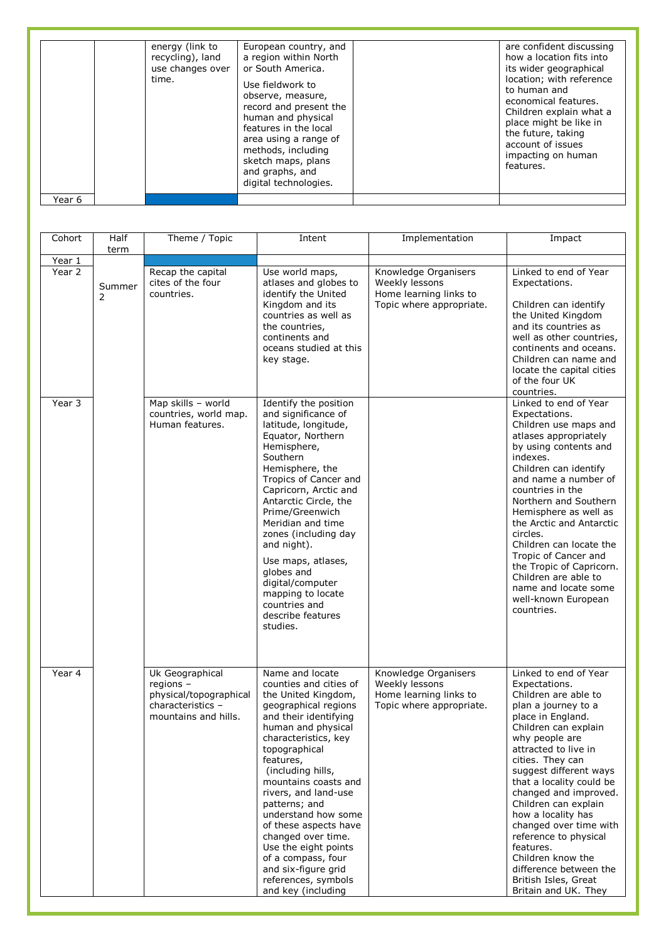|        | energy (link to<br>recycling), land<br>use changes over<br>time. | European country, and<br>a region within North<br>or South America.<br>Use fieldwork to<br>observe, measure,<br>record and present the<br>human and physical<br>features in the local<br>area using a range of<br>methods, including<br>sketch maps, plans<br>and graphs, and<br>digital technologies. | are confident discussing<br>how a location fits into<br>its wider geographical<br>location; with reference<br>to human and<br>economical features.<br>Children explain what a<br>place might be like in<br>the future, taking<br>account of issues<br>impacting on human<br>features. |
|--------|------------------------------------------------------------------|--------------------------------------------------------------------------------------------------------------------------------------------------------------------------------------------------------------------------------------------------------------------------------------------------------|---------------------------------------------------------------------------------------------------------------------------------------------------------------------------------------------------------------------------------------------------------------------------------------|
| Year 6 |                                                                  |                                                                                                                                                                                                                                                                                                        |                                                                                                                                                                                                                                                                                       |

| Cohort | Half<br>term | Theme / Topic                                                                                       | Intent                                                                                                                                                                                                                                                                                                                                                                                                                                                                      | Implementation                                                                               | Impact                                                                                                                                                                                                                                                                                                                                                                                                                                                                                       |
|--------|--------------|-----------------------------------------------------------------------------------------------------|-----------------------------------------------------------------------------------------------------------------------------------------------------------------------------------------------------------------------------------------------------------------------------------------------------------------------------------------------------------------------------------------------------------------------------------------------------------------------------|----------------------------------------------------------------------------------------------|----------------------------------------------------------------------------------------------------------------------------------------------------------------------------------------------------------------------------------------------------------------------------------------------------------------------------------------------------------------------------------------------------------------------------------------------------------------------------------------------|
| Year 1 |              |                                                                                                     |                                                                                                                                                                                                                                                                                                                                                                                                                                                                             |                                                                                              |                                                                                                                                                                                                                                                                                                                                                                                                                                                                                              |
| Year 2 | Summer<br>2  | Recap the capital<br>cites of the four<br>countries.                                                | Use world maps,<br>atlases and globes to<br>identify the United<br>Kingdom and its<br>countries as well as<br>the countries,<br>continents and<br>oceans studied at this<br>key stage.                                                                                                                                                                                                                                                                                      | Knowledge Organisers<br>Weekly lessons<br>Home learning links to<br>Topic where appropriate. | Linked to end of Year<br>Expectations.<br>Children can identify<br>the United Kingdom<br>and its countries as<br>well as other countries,<br>continents and oceans.<br>Children can name and<br>locate the capital cities<br>of the four UK<br>countries.                                                                                                                                                                                                                                    |
| Year 3 |              | Map skills - world<br>countries, world map.<br>Human features.                                      | Identify the position<br>and significance of<br>latitude, longitude,<br>Equator, Northern<br>Hemisphere,<br>Southern<br>Hemisphere, the<br>Tropics of Cancer and<br>Capricorn, Arctic and<br>Antarctic Circle, the<br>Prime/Greenwich<br>Meridian and time<br>zones (including day<br>and night).<br>Use maps, atlases,<br>globes and<br>digital/computer<br>mapping to locate<br>countries and<br>describe features<br>studies.                                            |                                                                                              | Linked to end of Year<br>Expectations.<br>Children use maps and<br>atlases appropriately<br>by using contents and<br>indexes.<br>Children can identify<br>and name a number of<br>countries in the<br>Northern and Southern<br>Hemisphere as well as<br>the Arctic and Antarctic<br>circles.<br>Children can locate the<br>Tropic of Cancer and<br>the Tropic of Capricorn.<br>Children are able to<br>name and locate some<br>well-known European<br>countries.                             |
| Year 4 |              | Uk Geographical<br>regions -<br>physical/topographical<br>characteristics -<br>mountains and hills. | Name and locate<br>counties and cities of<br>the United Kingdom,<br>geographical regions<br>and their identifying<br>human and physical<br>characteristics, key<br>topographical<br>features,<br>(including hills,<br>mountains coasts and<br>rivers, and land-use<br>patterns; and<br>understand how some<br>of these aspects have<br>changed over time.<br>Use the eight points<br>of a compass, four<br>and six-figure grid<br>references, symbols<br>and key (including | Knowledge Organisers<br>Weekly lessons<br>Home learning links to<br>Topic where appropriate. | Linked to end of Year<br>Expectations.<br>Children are able to<br>plan a journey to a<br>place in England.<br>Children can explain<br>why people are<br>attracted to live in<br>cities. They can<br>suggest different ways<br>that a locality could be<br>changed and improved.<br>Children can explain<br>how a locality has<br>changed over time with<br>reference to physical<br>features.<br>Children know the<br>difference between the<br>British Isles, Great<br>Britain and UK. They |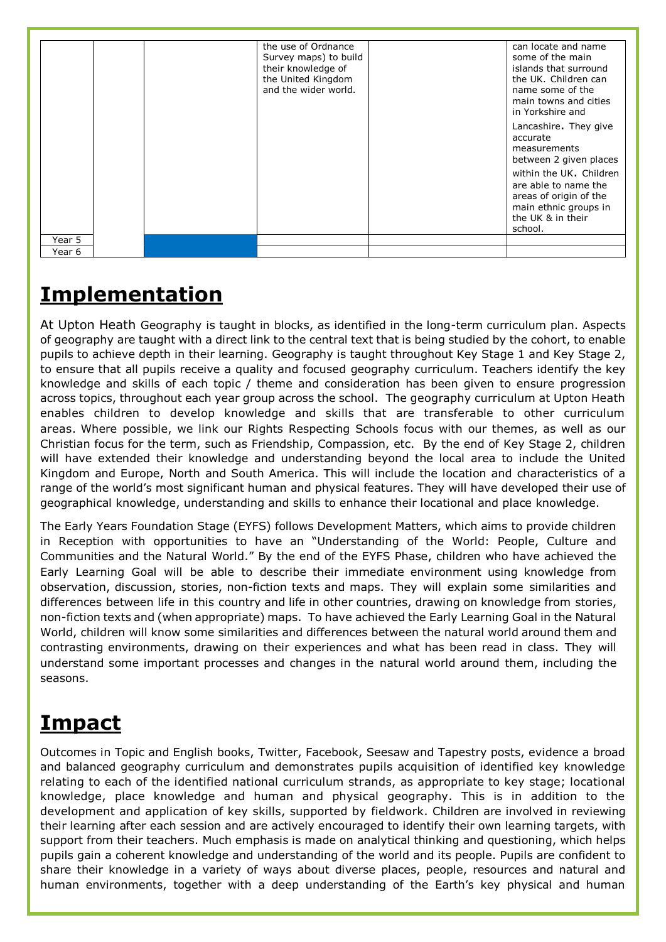|        | the use of Ordnance<br>Survey maps) to build                     | can locate and name<br>some of the main                                                                                            |
|--------|------------------------------------------------------------------|------------------------------------------------------------------------------------------------------------------------------------|
|        | their knowledge of<br>the United Kingdom<br>and the wider world. | islands that surround<br>the UK. Children can<br>name some of the<br>main towns and cities<br>in Yorkshire and                     |
|        |                                                                  | Lancashire. They give<br>accurate<br>measurements<br>between 2 given places                                                        |
|        |                                                                  | within the UK. Children<br>are able to name the<br>areas of origin of the<br>main ethnic groups in<br>the UK & in their<br>school. |
| Year 5 |                                                                  |                                                                                                                                    |
| Year 6 |                                                                  |                                                                                                                                    |

## **Implementation**

At Upton Heath Geography is taught in blocks, as identified in the long-term curriculum plan. Aspects of geography are taught with a direct link to the central text that is being studied by the cohort, to enable pupils to achieve depth in their learning. Geography is taught throughout Key Stage 1 and Key Stage 2, to ensure that all pupils receive a quality and focused geography curriculum. Teachers identify the key knowledge and skills of each topic / theme and consideration has been given to ensure progression across topics, throughout each year group across the school. The geography curriculum at Upton Heath enables children to develop knowledge and skills that are transferable to other curriculum areas. Where possible, we link our Rights Respecting Schools focus with our themes, as well as our Christian focus for the term, such as Friendship, Compassion, etc. By the end of Key Stage 2, children will have extended their knowledge and understanding beyond the local area to include the United Kingdom and Europe, North and South America. This will include the location and characteristics of a range of the world's most significant human and physical features. They will have developed their use of geographical knowledge, understanding and skills to enhance their locational and place knowledge.

The Early Years Foundation Stage (EYFS) follows Development Matters, which aims to provide children in Reception with opportunities to have an "Understanding of the World: People, Culture and Communities and the Natural World." By the end of the EYFS Phase, children who have achieved the Early Learning Goal will be able to describe their immediate environment using knowledge from observation, discussion, stories, non-fiction texts and maps. They will explain some similarities and differences between life in this country and life in other countries, drawing on knowledge from stories, non-fiction texts and (when appropriate) maps. To have achieved the Early Learning Goal in the Natural World, children will know some similarities and differences between the natural world around them and contrasting environments, drawing on their experiences and what has been read in class. They will understand some important processes and changes in the natural world around them, including the seasons.

## **Impact**

Outcomes in Topic and English books, Twitter, Facebook, Seesaw and Tapestry posts, evidence a broad and balanced geography curriculum and demonstrates pupils acquisition of identified key knowledge relating to each of the identified national curriculum strands, as appropriate to key stage; locational knowledge, place knowledge and human and physical geography. This is in addition to the development and application of key skills, supported by fieldwork. Children are involved in reviewing their learning after each session and are actively encouraged to identify their own learning targets, with support from their teachers. Much emphasis is made on analytical thinking and questioning, which helps pupils gain a coherent knowledge and understanding of the world and its people. Pupils are confident to share their knowledge in a variety of ways about diverse places, people, resources and natural and human environments, together with a deep understanding of the Earth's key physical and human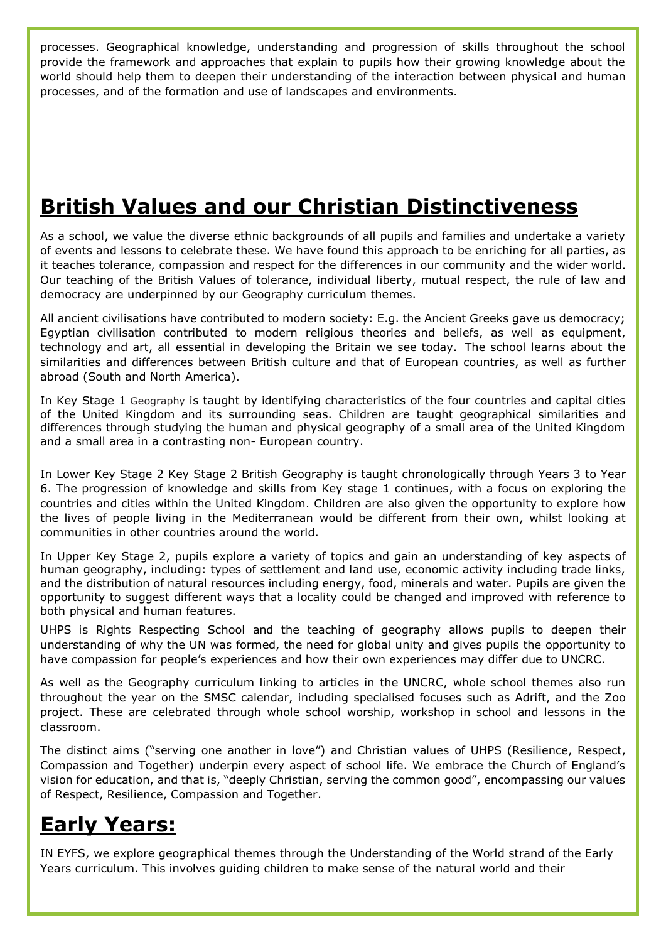processes. Geographical knowledge, understanding and progression of skills throughout the school provide the framework and approaches that explain to pupils how their growing knowledge about the world should help them to deepen their understanding of the interaction between physical and human processes, and of the formation and use of landscapes and environments.

## **British Values and our Christian Distinctiveness**

As a school, we value the diverse ethnic backgrounds of all pupils and families and undertake a variety of events and lessons to celebrate these. We have found this approach to be enriching for all parties, as it teaches tolerance, compassion and respect for the differences in our community and the wider world. Our teaching of the British Values of tolerance, individual liberty, mutual respect, the rule of law and democracy are underpinned by our Geography curriculum themes.

All ancient civilisations have contributed to modern society: E.g. the Ancient Greeks gave us democracy; Egyptian civilisation contributed to modern religious theories and beliefs, as well as equipment, technology and art, all essential in developing the Britain we see today. The school learns about the similarities and differences between British culture and that of European countries, as well as further abroad (South and North America).

In Key Stage 1 Geography is taught by identifying characteristics of the four countries and capital cities of the United Kingdom and its surrounding seas. Children are taught geographical similarities and differences through studying the human and physical geography of a small area of the United Kingdom and a small area in a contrasting non- European country.

In Lower Key Stage 2 Key Stage 2 British Geography is taught chronologically through Years 3 to Year 6. The progression of knowledge and skills from Key stage 1 continues, with a focus on exploring the countries and cities within the United Kingdom. Children are also given the opportunity to explore how the lives of people living in the Mediterranean would be different from their own, whilst looking at communities in other countries around the world.

In Upper Key Stage 2, pupils explore a variety of topics and gain an understanding of key aspects of human geography, including: types of settlement and land use, economic activity including trade links, and the distribution of natural resources including energy, food, minerals and water. Pupils are given the opportunity to suggest different ways that a locality could be changed and improved with reference to both physical and human features.

UHPS is Rights Respecting School and the teaching of geography allows pupils to deepen their understanding of why the UN was formed, the need for global unity and gives pupils the opportunity to have compassion for people's experiences and how their own experiences may differ due to UNCRC.

As well as the Geography curriculum linking to articles in the UNCRC, whole school themes also run throughout the year on the SMSC calendar, including specialised focuses such as Adrift, and the Zoo project. These are celebrated through whole school worship, workshop in school and lessons in the classroom.

The distinct aims ("serving one another in love") and Christian values of UHPS (Resilience, Respect, Compassion and Together) underpin every aspect of school life. We embrace the Church of England's vision for education, and that is, "deeply Christian, serving the common good", encompassing our values of Respect, Resilience, Compassion and Together.

## **Early Years:**

IN EYFS, we explore geographical themes through the Understanding of the World strand of the Early Years curriculum. This involves guiding children to make sense of the natural world and their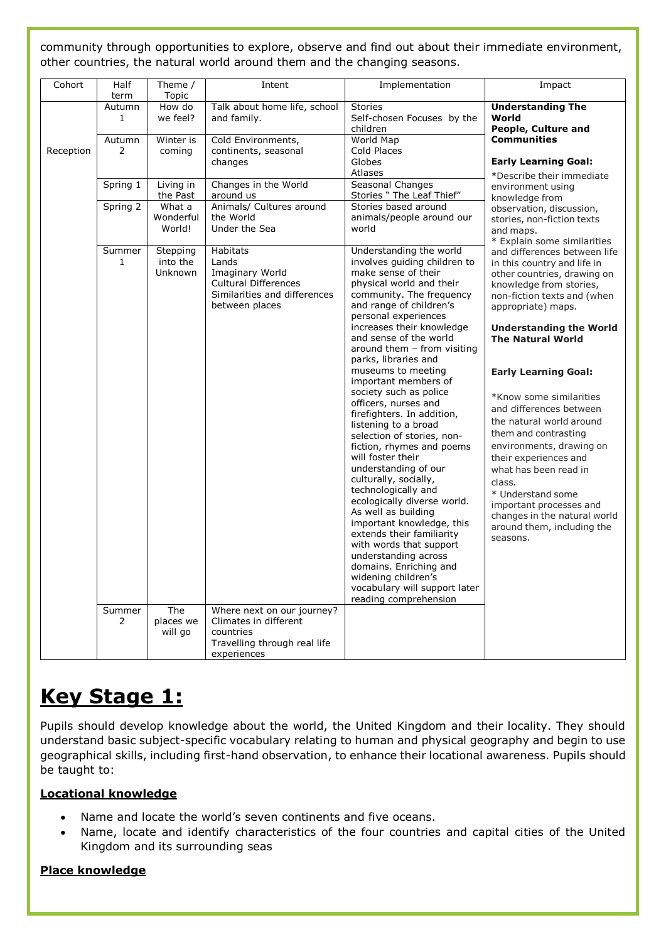community through opportunities to explore, observe and find out about their immediate environment, other countries, the natural world around them and the changing seasons.

| Cohort    | Half<br>term             | Theme /<br>Topic                                       | Intent                                                                                                                | Implementation                                                                                                                                                                                                                                                                                                                                                                                                                                                                                                                                                                                                                                                                                                                                                                           | Impact                                                                                                                                                                                                                                                                                                                                                                                                                                                                                                                                                                                                                             |
|-----------|--------------------------|--------------------------------------------------------|-----------------------------------------------------------------------------------------------------------------------|------------------------------------------------------------------------------------------------------------------------------------------------------------------------------------------------------------------------------------------------------------------------------------------------------------------------------------------------------------------------------------------------------------------------------------------------------------------------------------------------------------------------------------------------------------------------------------------------------------------------------------------------------------------------------------------------------------------------------------------------------------------------------------------|------------------------------------------------------------------------------------------------------------------------------------------------------------------------------------------------------------------------------------------------------------------------------------------------------------------------------------------------------------------------------------------------------------------------------------------------------------------------------------------------------------------------------------------------------------------------------------------------------------------------------------|
|           | Autumn<br>$\mathbf{1}$   | How do<br>we feel?                                     | Talk about home life, school<br>and family.                                                                           | <b>Stories</b><br>Self-chosen Focuses by the<br>children                                                                                                                                                                                                                                                                                                                                                                                                                                                                                                                                                                                                                                                                                                                                 | <b>Understanding The</b><br>World<br>People, Culture and                                                                                                                                                                                                                                                                                                                                                                                                                                                                                                                                                                           |
| Reception | Autumn<br>$\overline{2}$ | Winter is<br>coming                                    | Cold Environments,<br>continents, seasonal<br>changes                                                                 | World Map<br>Cold Places<br>Globes<br>Atlases                                                                                                                                                                                                                                                                                                                                                                                                                                                                                                                                                                                                                                                                                                                                            | <b>Communities</b><br><b>Early Learning Goal:</b><br>*Describe their immediate                                                                                                                                                                                                                                                                                                                                                                                                                                                                                                                                                     |
|           | Spring 1<br>Spring 2     | Living in<br>the Past<br>What a<br>Wonderful<br>World! | Changes in the World<br>around us<br>Animals/ Cultures around<br>the World<br>Under the Sea                           | Seasonal Changes<br>Stories " The Leaf Thief"<br>Stories based around<br>animals/people around our<br>world                                                                                                                                                                                                                                                                                                                                                                                                                                                                                                                                                                                                                                                                              | environment using<br>knowledge from<br>observation, discussion,<br>stories, non-fiction texts<br>and maps.                                                                                                                                                                                                                                                                                                                                                                                                                                                                                                                         |
|           | Summer<br>1              | Stepping<br>into the<br>Unknown                        | Habitats<br>Lands<br>Imaginary World<br><b>Cultural Differences</b><br>Similarities and differences<br>between places | Understanding the world<br>involves guiding children to<br>make sense of their<br>physical world and their<br>community. The frequency<br>and range of children's<br>personal experiences<br>increases their knowledge<br>and sense of the world<br>around them - from visiting<br>parks, libraries and<br>museums to meeting<br>important members of<br>society such as police<br>officers, nurses and<br>firefighters. In addition,<br>listening to a broad<br>selection of stories, non-<br>fiction, rhymes and poems<br>will foster their<br>understanding of our<br>culturally, socially,<br>technologically and<br>ecologically diverse world.<br>As well as building<br>important knowledge, this<br>extends their familiarity<br>with words that support<br>understanding across | * Explain some similarities<br>and differences between life<br>in this country and life in<br>other countries, drawing on<br>knowledge from stories,<br>non-fiction texts and (when<br>appropriate) maps.<br><b>Understanding the World</b><br><b>The Natural World</b><br><b>Early Learning Goal:</b><br>*Know some similarities<br>and differences between<br>the natural world around<br>them and contrasting<br>environments, drawing on<br>their experiences and<br>what has been read in<br>class.<br>* Understand some<br>important processes and<br>changes in the natural world<br>around them, including the<br>seasons. |
|           | Summer<br>2              | <b>The</b><br>places we<br>will go                     | Where next on our journey?<br>Climates in different<br>countries<br>Travelling through real life<br>experiences       | domains. Enriching and<br>widening children's<br>vocabulary will support later<br>reading comprehension                                                                                                                                                                                                                                                                                                                                                                                                                                                                                                                                                                                                                                                                                  |                                                                                                                                                                                                                                                                                                                                                                                                                                                                                                                                                                                                                                    |

## **Key Stage 1:**

Pupils should develop knowledge about the world, the United Kingdom and their locality. They should understand basic subject-specific vocabulary relating to human and physical geography and begin to use geographical skills, including first-hand observation, to enhance their locational awareness. Pupils should be taught to:

### **Locational knowledge**

- Name and locate the world's seven continents and five oceans.
- Name, locate and identify characteristics of the four countries and capital cities of the United Kingdom and its surrounding seas

#### **Place knowledge**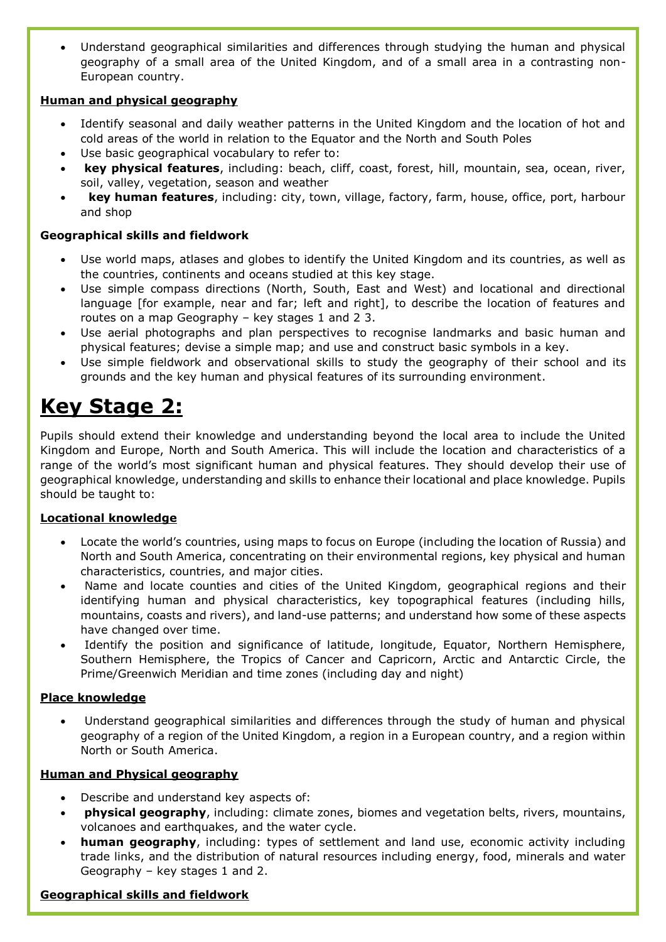Understand geographical similarities and differences through studying the human and physical geography of a small area of the United Kingdom, and of a small area in a contrasting non-European country.

#### **Human and physical geography**

- Identify seasonal and daily weather patterns in the United Kingdom and the location of hot and cold areas of the world in relation to the Equator and the North and South Poles
- Use basic geographical vocabulary to refer to:
- **key physical features**, including: beach, cliff, coast, forest, hill, mountain, sea, ocean, river, soil, valley, vegetation, season and weather
- **key human features**, including: city, town, village, factory, farm, house, office, port, harbour and shop

#### **Geographical skills and fieldwork**

- Use world maps, atlases and globes to identify the United Kingdom and its countries, as well as the countries, continents and oceans studied at this key stage.
- Use simple compass directions (North, South, East and West) and locational and directional language [for example, near and far; left and right], to describe the location of features and routes on a map Geography – key stages 1 and 2 3.
- Use aerial photographs and plan perspectives to recognise landmarks and basic human and physical features; devise a simple map; and use and construct basic symbols in a key.
- Use simple fieldwork and observational skills to study the geography of their school and its grounds and the key human and physical features of its surrounding environment.

## **Key Stage 2:**

Pupils should extend their knowledge and understanding beyond the local area to include the United Kingdom and Europe, North and South America. This will include the location and characteristics of a range of the world's most significant human and physical features. They should develop their use of geographical knowledge, understanding and skills to enhance their locational and place knowledge. Pupils should be taught to:

### **Locational knowledge**

- Locate the world's countries, using maps to focus on Europe (including the location of Russia) and North and South America, concentrating on their environmental regions, key physical and human characteristics, countries, and major cities.
- Name and locate counties and cities of the United Kingdom, geographical regions and their identifying human and physical characteristics, key topographical features (including hills, mountains, coasts and rivers), and land-use patterns; and understand how some of these aspects have changed over time.
- Identify the position and significance of latitude, longitude, Equator, Northern Hemisphere, Southern Hemisphere, the Tropics of Cancer and Capricorn, Arctic and Antarctic Circle, the Prime/Greenwich Meridian and time zones (including day and night)

#### **Place knowledge**

 Understand geographical similarities and differences through the study of human and physical geography of a region of the United Kingdom, a region in a European country, and a region within North or South America.

#### **Human and Physical geography**

- Describe and understand key aspects of:
- **physical geography**, including: climate zones, biomes and vegetation belts, rivers, mountains, volcanoes and earthquakes, and the water cycle.
- **human geography**, including: types of settlement and land use, economic activity including trade links, and the distribution of natural resources including energy, food, minerals and water Geography – key stages 1 and 2.

#### **Geographical skills and fieldwork**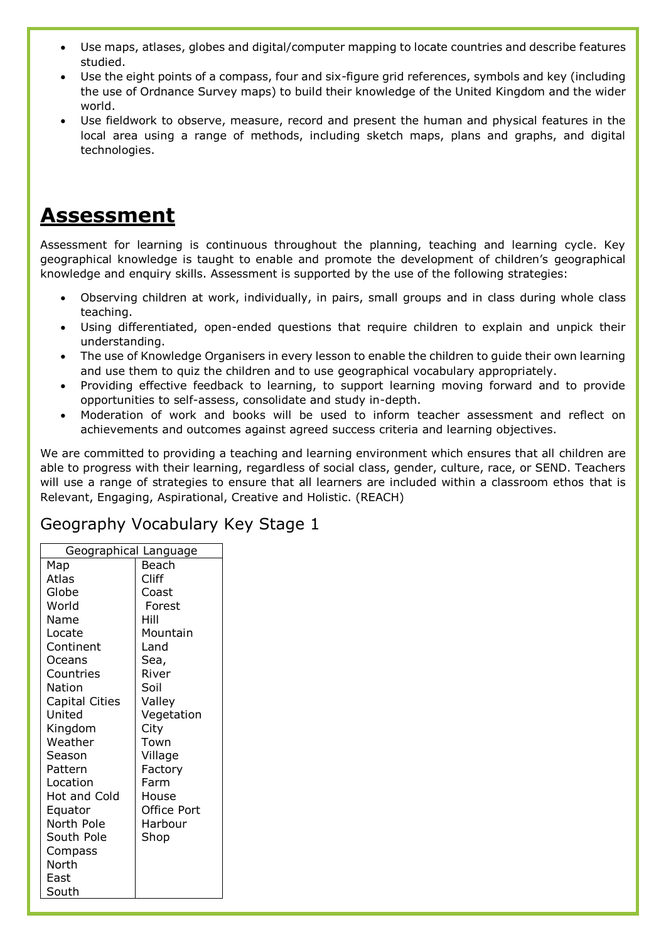- Use maps, atlases, globes and digital/computer mapping to locate countries and describe features studied.
- Use the eight points of a compass, four and six-figure grid references, symbols and key (including the use of Ordnance Survey maps) to build their knowledge of the United Kingdom and the wider world.
- Use fieldwork to observe, measure, record and present the human and physical features in the local area using a range of methods, including sketch maps, plans and graphs, and digital technologies.

## **Assessment**

Assessment for learning is continuous throughout the planning, teaching and learning cycle. Key geographical knowledge is taught to enable and promote the development of children's geographical knowledge and enquiry skills. Assessment is supported by the use of the following strategies:

- Observing children at work, individually, in pairs, small groups and in class during whole class teaching.
- Using differentiated, open-ended questions that require children to explain and unpick their understanding.
- The use of Knowledge Organisers in every lesson to enable the children to guide their own learning and use them to quiz the children and to use geographical vocabulary appropriately.
- Providing effective feedback to learning, to support learning moving forward and to provide opportunities to self-assess, consolidate and study in-depth.
- Moderation of work and books will be used to inform teacher assessment and reflect on achievements and outcomes against agreed success criteria and learning objectives.

We are committed to providing a teaching and learning environment which ensures that all children are able to progress with their learning, regardless of social class, gender, culture, race, or SEND. Teachers will use a range of strategies to ensure that all learners are included within a classroom ethos that is Relevant, Engaging, Aspirational, Creative and Holistic. (REACH)

## Geography Vocabulary Key Stage 1

| Geographical Language |             |
|-----------------------|-------------|
| Map                   | Beach       |
| Atlas                 | Cliff       |
| Globe                 | Coast       |
| World                 | Forest      |
| Name                  | Hill        |
| Locate                | Mountain    |
| Continent             | Land        |
| Oceans                | Sea,        |
| Countries             | River       |
| Nation                | Soil        |
| <b>Capital Cities</b> | Valley      |
| United                | Vegetation  |
| Kingdom               | City        |
| Weather               | Town        |
| Season                | Village     |
| Pattern               | Factory     |
| Location              | Farm        |
| Hot and Cold          | House       |
| Equator               | Office Port |
| North Pole            | Harbour     |
| South Pole            | Shop        |
| Compass               |             |
| North                 |             |
| East                  |             |
| South                 |             |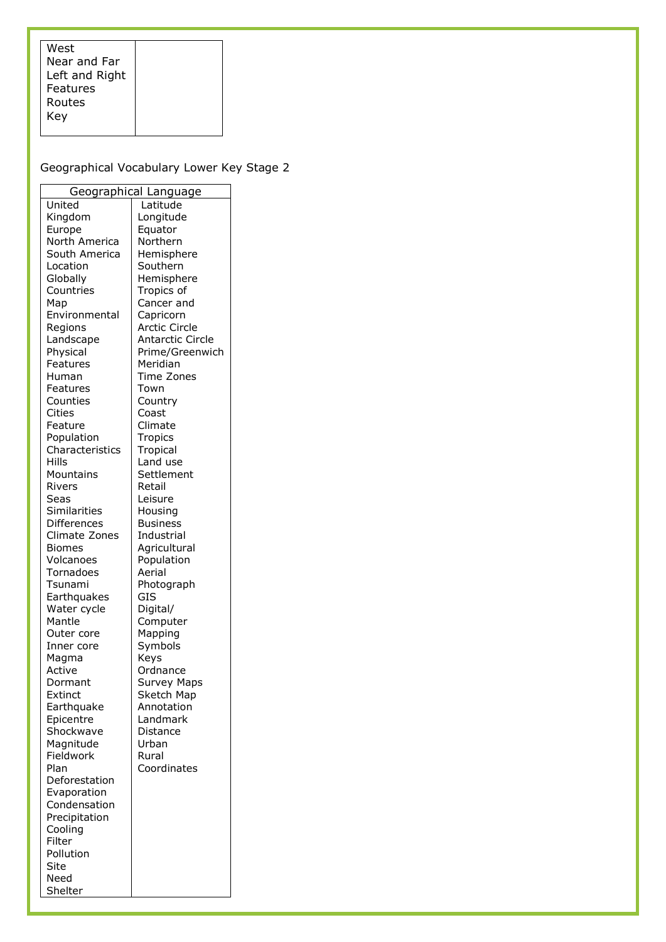| West           |  |
|----------------|--|
| Near and Far   |  |
| Left and Right |  |
| Features       |  |
| Routes         |  |
| Key            |  |
|                |  |

Geographical Vocabulary Lower Key Stage 2

| Geographical Language |                         |  |  |
|-----------------------|-------------------------|--|--|
| United                | Latitude                |  |  |
| Kingdom               | Longitude               |  |  |
| Europe                | Equator                 |  |  |
| North America         | Northern                |  |  |
| South America         | Hemisphere              |  |  |
| Location              | Southern                |  |  |
| Globally              | Hemisphere              |  |  |
| Countries             | Tropics of              |  |  |
| Map                   | Cancer and              |  |  |
| Environmental         |                         |  |  |
|                       | Capricorn               |  |  |
| Regions               | <b>Arctic Circle</b>    |  |  |
| Landscape             | <b>Antarctic Circle</b> |  |  |
| Physical              | Prime/Greenwich         |  |  |
| Features              | Meridian                |  |  |
| Human                 | Time Zones              |  |  |
| Features              | Town                    |  |  |
| Counties              | Country                 |  |  |
| Cities                | Coast                   |  |  |
| Feature               | Climate                 |  |  |
| Population            | <b>Tropics</b>          |  |  |
| Characteristics       | Tropical                |  |  |
| Hills                 | Land use                |  |  |
| Mountains             | Settlement              |  |  |
| <b>Rivers</b>         | Retail                  |  |  |
| Seas                  | Leisure                 |  |  |
| Similarities          | Housing                 |  |  |
| Differences           | <b>Business</b>         |  |  |
| Climate Zones         | Industrial              |  |  |
| <b>Biomes</b>         | Agricultural            |  |  |
| Volcanoes             | Population              |  |  |
| Tornadoes             | Aerial                  |  |  |
| Tsunami               | Photograph              |  |  |
|                       | GIS                     |  |  |
| Earthquakes           |                         |  |  |
| Water cycle           | Digital/                |  |  |
| Mantle                | Computer                |  |  |
| Outer core            | Mapping                 |  |  |
| Inner core            | Symbols                 |  |  |
| Magma                 | Keys                    |  |  |
| Active                | Ordnance                |  |  |
| Dormanτ               | Survey Maps             |  |  |
| Extinct               | Sketch Map              |  |  |
| Earthquake            | Annotation              |  |  |
| Epicentre             | Landmark                |  |  |
| Shockwave             | Distance                |  |  |
| Magnitude             | Urban                   |  |  |
| Fieldwork             | Rural                   |  |  |
| Plan                  | Coordinates             |  |  |
| Deforestation         |                         |  |  |
| Evaporation           |                         |  |  |
| Condensation          |                         |  |  |
| Precipitation         |                         |  |  |
| Cooling               |                         |  |  |
| Filter                |                         |  |  |
| Pollution             |                         |  |  |
| Site                  |                         |  |  |
| Need                  |                         |  |  |
| Shelter               |                         |  |  |
|                       |                         |  |  |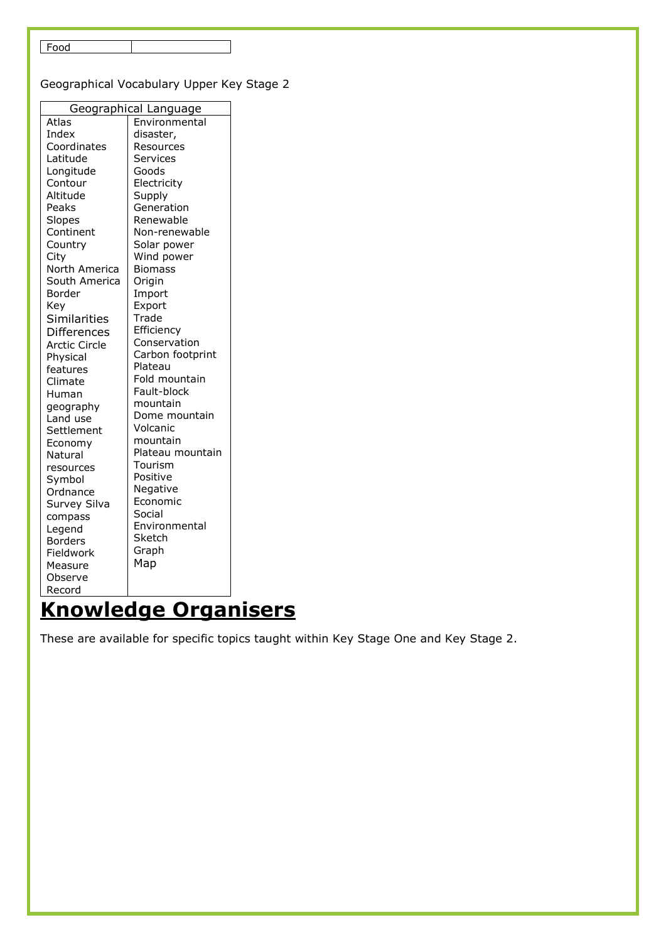#### Food

Geographical Vocabulary Upper Key Stage 2

|                      | Geographical Language |
|----------------------|-----------------------|
| Atlas                | Environmental         |
| Index                | disaster,             |
| Coordinates          | Resources             |
| Latitude             | Services              |
| Longitude            | Goods                 |
| Contour              | Electricity           |
| Altitude             | Supply                |
| Peaks                | Generation            |
| Slopes               | Renewable             |
| Continent            | Non-renewable         |
| Country              | Solar power           |
| City                 | Wind power            |
| North America        | <b>Biomass</b>        |
| South America        | Origin                |
| Border               | Import                |
| Key                  | Export                |
| Similarities         | Trade                 |
| Differences          | Efficiency            |
| <b>Arctic Circle</b> | Conservation          |
| Physical             | Carbon footprint      |
| features             | Plateau               |
| Climate              | Fold mountain         |
| Human                | Fault-block           |
| geography            | mountain              |
| Land use             | Dome mountain         |
| Settlement           | Volcanic              |
| Economy              | mountain              |
| Natural              | Plateau mountain      |
| resources            | Tourism               |
| Svmbol               | Positive              |
| Ordnance             | Negative              |
| Survey Silva         | Economic              |
| compass              | Social                |
| Legend               | Environmental         |
| <b>Borders</b>       | Sketch                |
| Fieldwork            | Graph                 |
| Measure              | Map                   |
| Observe              |                       |
| Record               |                       |

## **Knowledge Organisers**

These are available for specific topics taught within Key Stage One and Key Stage 2.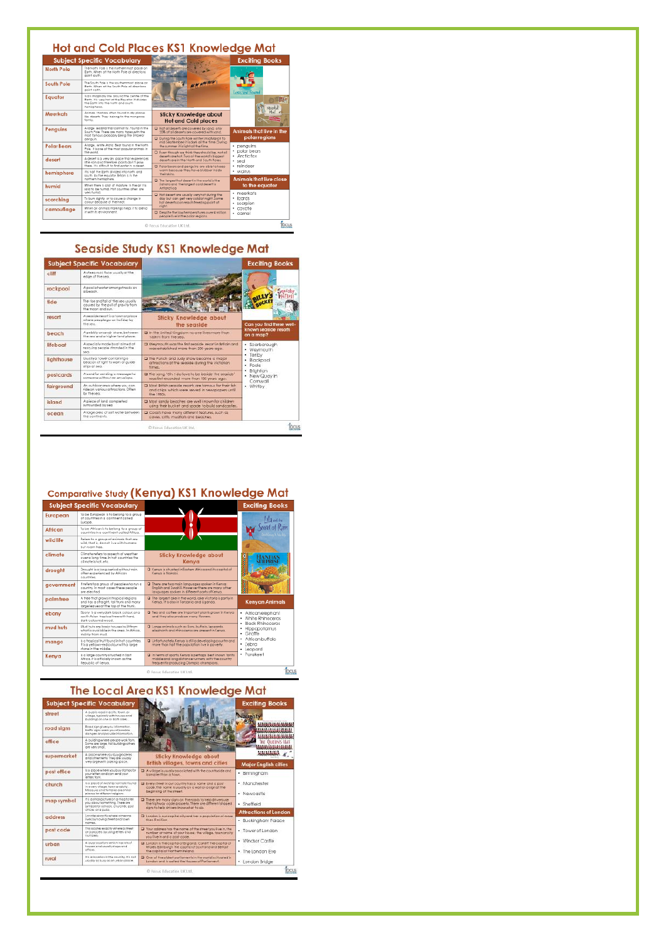#### Hot and Cold Places KS1 Knowledge Mat

|                    | <b>Subject Specific Vocabulary</b>                                                                                                                  |                                                                                                      | <b>Exciting Books</b>          |
|--------------------|-----------------------------------------------------------------------------------------------------------------------------------------------------|------------------------------------------------------------------------------------------------------|--------------------------------|
| North Pole         | The North Pole is the northernmost place on<br>Earth, When at the North Pale all directions<br>point south.                                         |                                                                                                      |                                |
| South Pole         | The South Fole is the southernmost place on<br>Earth, When of the South Fole all deartings.<br>point north.                                         |                                                                                                      | <b>Lost and Found</b>          |
| Equator            | is an imaginary line cround the centre of the<br>Earth. His yery hat at the Bougton, Halvides.<br>the Earth into the north and south<br>hemisphees. |                                                                                                      | Meerkat                        |
| <b>Meerkats</b>    | Animals that are often found in dry places<br>lke deserts. They belong to the mongocoe-<br>fornily.                                                 | <b>Sticky Knowledge about</b><br><b>Hot and Cold places</b>                                          | M <sub>2</sub>                 |
| Penguins           | A large seabled that connot fly. Found in the<br>South Fole. There are many fypes with the                                                          | D Not all deserts are covered by sand, only<br>book dilute beech over covered with small.            | Animals that live in the       |
|                    | most famous probably being the Emperor<br>penpuin.                                                                                                  | <b>Q</b> During the South Pole winter (midMarch to<br>mid September) it is dark all the time. During | polar regions                  |
| <b>Polar Bears</b> | A large, white Arctic Sear found in the North<br>Fole. It is one of the most popular animals in                                                     | the summer it is light all the time.                                                                 | · penguins<br>polar bears      |
| desert             | the world.<br>A detert is a very dry place that experiences.                                                                                        | Q Even though we think they should be, not all<br>deserts are hot. Two of the world's biagest        | · Arctic fox                   |
|                    | little rain and therefore plants dan't grow<br>there. It is difficult to find woter in a desert.                                                    | deserts are in the North and South Poles.<br>Polarbears and penaulns are able to keep                | · seci<br>· reindeer           |
| hemisphere         | It's half the Earth divided into north and<br>south by the equator. Britain is in the                                                               | worm because they have blubber inside.<br>their done.                                                | · waltus                       |
|                    | northern hemisphere.                                                                                                                                | Q The largest hot depart in the world is the                                                         | <b>Animals that live close</b> |
| humid              | When there is a lot of molsture in the air it is<br>unid to be humid. Hel counties often me.                                                        | Sahara and the largest cold desert is<br>Antarctica                                                  | to the equator                 |
|                    | yew humid.<br>To burn sightly or to cause a change in                                                                                               | Q Hot depert are usually very hot during the<br>day but can get very cold at night. Some             | · meekots<br>· lizards         |
| scorching          | colour because of the heat.                                                                                                                         | hot deserts can reach freezing point at<br>nioht.                                                    | scorpion                       |
| camouflage         | When on onima's markings helps it to blend.<br>in with its environment.                                                                             | Despite the low temperatures over 4 million                                                          | covote<br>comel<br>٠           |
|                    |                                                                                                                                                     | people live in the polar regions.                                                                    |                                |
|                    |                                                                                                                                                     | © Focus Education UK Ltd.                                                                            |                                |

### Seaside Study KS1 Knowledge Mat

| A steep rook fooe usually at the<br>edge of the seq.<br>A pool of water amongst rocks on<br>or humanis.<br>The rise and fail of the sea usually<br>caused by the pull of gravity from<br>the moon and sun."<br>A secoide respriso fown or place<br>where people go on holday by<br>the seq.<br>A pebbly creandy shore, between<br>the sea and a higher land place. | <b>Sticky Knowledge about</b><br>the seaside<br>a in the United Kingdom no one lives more than<br>tances from the seq.    | Soutshy<br>McFlutt<br><b>BILLY</b><br><b>BUCKET</b><br>Can you find these well-<br>known seaside resorts<br>on a map? |
|--------------------------------------------------------------------------------------------------------------------------------------------------------------------------------------------------------------------------------------------------------------------------------------------------------------------------------------------------------------------|---------------------------------------------------------------------------------------------------------------------------|-----------------------------------------------------------------------------------------------------------------------|
|                                                                                                                                                                                                                                                                                                                                                                    |                                                                                                                           |                                                                                                                       |
|                                                                                                                                                                                                                                                                                                                                                                    |                                                                                                                           |                                                                                                                       |
|                                                                                                                                                                                                                                                                                                                                                                    |                                                                                                                           |                                                                                                                       |
|                                                                                                                                                                                                                                                                                                                                                                    |                                                                                                                           |                                                                                                                       |
|                                                                                                                                                                                                                                                                                                                                                                    |                                                                                                                           |                                                                                                                       |
| A specially made boot aimed at<br>rescuing people stranded in the<br>seq.                                                                                                                                                                                                                                                                                          | Q Weymouth was the first seaside resort in Entain and<br>was established more than 200 years ago.                         | · Scarborough<br>· Weymouth                                                                                           |
| Usually a tower containing a<br>began of light to warn or quide<br>thing of seq.                                                                                                                                                                                                                                                                                   | D The Punch and Judy show became a major<br>attractions at the seaside during the Victorian<br>timas.                     | · Tenby<br>Blackpool<br>· Poole<br>Brighton<br>· New Quay in<br>Cornwall<br>· Whitby                                  |
| A card for sending a message to<br>someone without on envelope.                                                                                                                                                                                                                                                                                                    | The song 'Ch. I do love to be beride the seaside'<br>was first recorded more than 100 years ago.                          |                                                                                                                       |
| An outdoor area where you can<br>ride on various attractions. Often<br>by the sea.                                                                                                                                                                                                                                                                                 | D Most Eritish seaside resorts are famous for their fish.<br>and chips which were served in newspapers until<br>Hw 1980s. |                                                                                                                       |
| A piece of land completed<br>sumpunded by sep                                                                                                                                                                                                                                                                                                                      | D Most sandy beaches are well known for children<br>using their bucket and spade to build sandcastles.                    |                                                                                                                       |
| A large area of salt water between<br>the continents.                                                                                                                                                                                                                                                                                                              | D. Coasts have many different features, such as<br>caves, città, mudfiati and beaches.                                    |                                                                                                                       |
|                                                                                                                                                                                                                                                                                                                                                                    |                                                                                                                           | C Focus Education UK Ltd.                                                                                             |

### **Comparative Study (Kenya) KS1 Knowledge Mat**

|            | Subject Specific Vocabulary                                                                                               |                                                                                                                                                            | <b>Exciting Books</b>                                    |
|------------|---------------------------------------------------------------------------------------------------------------------------|------------------------------------------------------------------------------------------------------------------------------------------------------------|----------------------------------------------------------|
| European   | To be European is to belong to a group<br>of countries in a continent called<br><b>Funcion</b>                            |                                                                                                                                                            | 1 a solde                                                |
| African    | To be Africanista belong to a group of<br>countries in a continent called Africa.                                         |                                                                                                                                                            | Secret of Rain                                           |
| wild life  | Refers to a group of animals that are<br>wild, that is, do not live with humans.<br>but room free.                        |                                                                                                                                                            |                                                          |
| climate    | Climate refers to aspects of weather<br>over a long time. In hat countries the<br>olimate is hot, etc.                    | Slicky Knowledge about<br>Kenya                                                                                                                            | Î                                                        |
| drought    | Drought is a long period without rain.<br>often experienced by African<br>countries                                       | Q Kerwa is situated in Eastern Africa and its capital of<br>Kerwa is Nairobi.                                                                              |                                                          |
| government | It refers to a group of people who run a<br>country. In most cases these people<br>are elected.                           | Q There are two main languages spoken in Kenya:<br>English and Swahili. Howeverthere are many other<br>languages spoken in different parts of Kerwa.       |                                                          |
| palm free  | A tree that grows in trapical regions<br>and has a straight, tall trunk and many<br>large leaves at the top of the trunk. | The largest lake in the world, lake Victoria is partly in<br>Kenya, It is also in Tanzania and Uganda.                                                     | <b>Kenyan Animals</b>                                    |
| ebony      | Ebory is a very dark black colour, or a<br>south Asian trapical tree with hard.<br>dark-coloured wood.                    | Q Tea and coffee are important plants grown in Kenya.<br>and they also produce many flowers.                                                               | African elephant<br>White Rhinoceros<br>Black Rhinoceros |
| mud huts   | Mud hutsons begin houses built from<br>what is available in the area. In Africa.<br>mainly from mud.                      | Q Large animals such as fore, buffalo, leapards,<br>elephants and rhinoceros are present in Kerwa.                                                         | Hippopotamus<br>Giroffe                                  |
| mango      | is a trapical fruit found in hot countries.<br>If is a vellows-red colourwith a large<br>stone in the middle.             | <b>Q</b> Unfortunately, Kenya is still a developing country and<br>more than half the population live in poverty.                                          | African buffalo<br>Zebra<br>٠<br>Leopard<br>٠            |
| Kenya      | ls a large country situated in East<br>Africa. It is officially known as the<br>Republic of Kenya.                        | Q In terms of sports. Kenya is perhaps best known for its<br>middle and long distance runners, with the country<br>frequently producing Olympic champions. | Parakeet                                                 |
|            |                                                                                                                           | C Focus Education UK Ltd.                                                                                                                                  |                                                          |

### The Local Area KS1 Knowledge Mat

|             | <b>Subject Specific Vocabulary</b>                                                                                                           |                                                                                                                                                             | <b>Exciting Books</b>                               |  |
|-------------|----------------------------------------------------------------------------------------------------------------------------------------------|-------------------------------------------------------------------------------------------------------------------------------------------------------------|-----------------------------------------------------|--|
| street      | A public road in a city, town, or<br>village, typically with houses and<br>buildings on one or both sides.                                   |                                                                                                                                                             | <b>Naughty</b><br>Bite                              |  |
| road signs  | Road sign gives you information.<br>traffic signs warn you of possible<br>dangers and provide information.                                   |                                                                                                                                                             |                                                     |  |
| office      | A building where people work from<br>Some are lorge, tal buildings others<br>are very small.                                                 |                                                                                                                                                             |                                                     |  |
| supermarket | A place where you buy proceries<br>grid offier items. They gre usually<br>veniloge with posing rooce.                                        | Sticky Knowledge about<br><b>British villages, towns and cities</b>                                                                                         | ,,,,,,,,,,,<br><b>Major English cities</b>          |  |
| post office | is a place where you buy stamps for<br>yourletters and consend your.<br>when <i>korn</i> .                                                   | D A village is usually associated with the countryside and<br>is smaller than a fown.                                                                       | · Birmingham                                        |  |
| church      | is a place of worship normally found<br>in every vilage, fown and city.<br>Mosques and temples are smiler<br>places for different relations. | D Even street in our country has a name and a post<br>code. The name is usually an a wall ar a sign at the<br>beginning of the street.                      | · Manchester<br>· Newcastle                         |  |
| map symbol  | It's a small picture on a map to tell<br>you about something. There are<br>tempols for schools, churches, post<br>offices circl pulse.       | 2 There are many signs on the roads to help drivers use.<br>the highway code properly. There are different shaped<br>signs to help drivers know what to do. | · Sheffield                                         |  |
| address     | Locates exactly where someone.<br>ivectiving ving cheet and town<br>riornes.                                                                 | D London is our capital city and has a population of more<br>Hone & million.                                                                                | <b>Attractions of London</b><br>· Buckingham Palace |  |
| post code   | This locaties exactly where a sheet<br>or a piace's by using letters and<br>number.                                                          | D. Your address has the name of the street you live in, the<br>number or name of your house; the village, fown or city.<br>vou live in ond a post code.     | · Tower of London                                   |  |
| urban       | A but ilocations which has lots of<br>houses and usually shops and<br>offices                                                                | D London is the copital of England: Cardiff the copital of<br>Wales, Edinburgh the capital of Scotland and Belfast<br>the capital of Northern heland.       | · Windsor Costle<br>. The London Eve                |  |
| rural       | His a location in the country. His not<br>usually at busy or on urban place.                                                                 | D. One of the oldest partiaments in the world is situated in<br>London and is called the Houses of Parliament.                                              | · London Bridge                                     |  |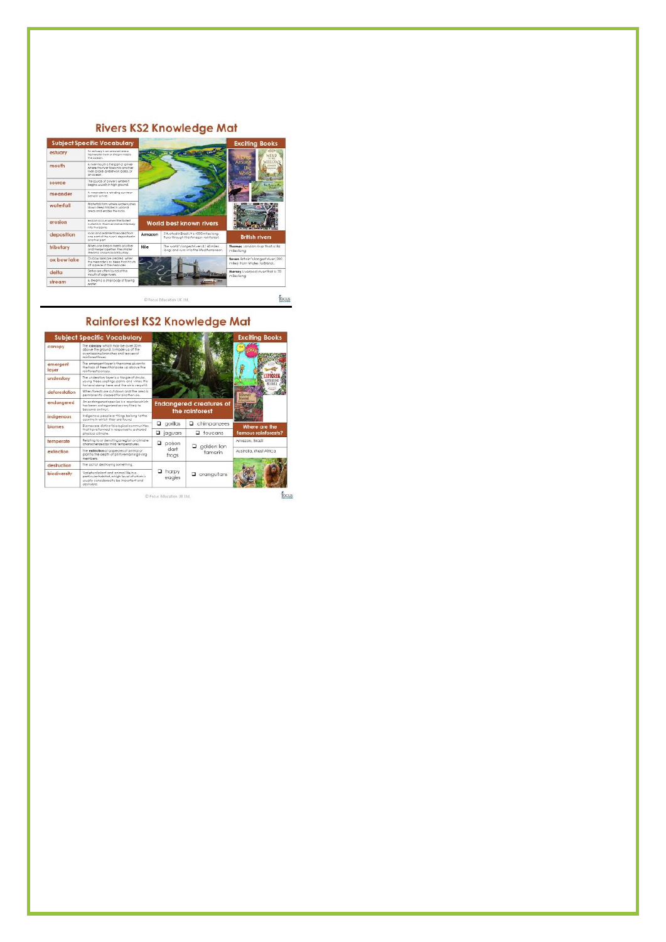#### **Rivers KS2 Knowledge Mat**



#### **Rainforest KS2 Knowledge Mat**



C Focus Education UK Ltd.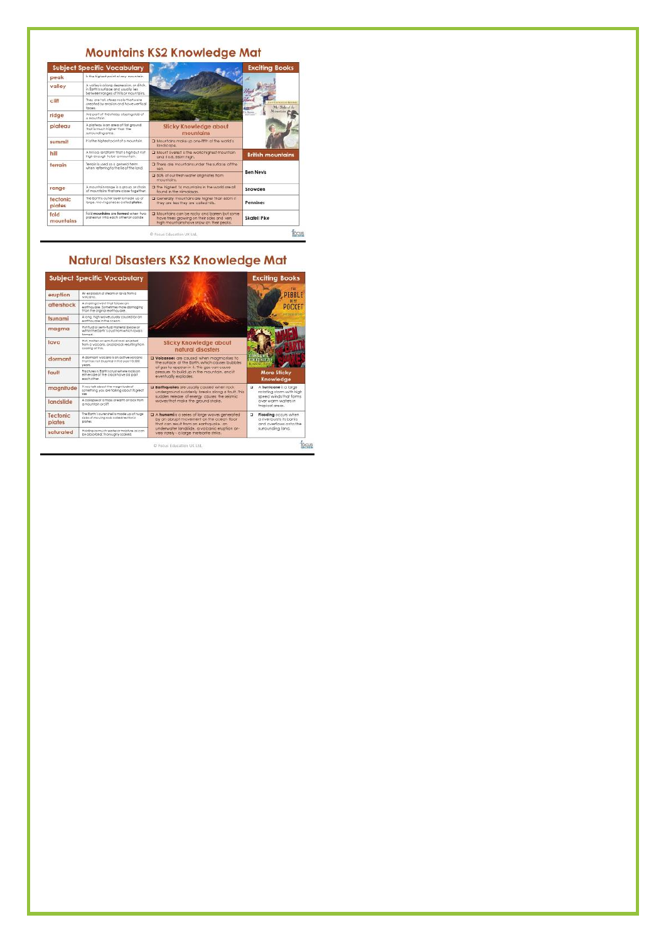## **Mountains KS2 Knowledge Mat**

|                    | <b>Subject Specific Vocabulary</b>                                                                                      |                                                                                                                                        | <b>Exciting Books</b>                                  |
|--------------------|-------------------------------------------------------------------------------------------------------------------------|----------------------------------------------------------------------------------------------------------------------------------------|--------------------------------------------------------|
| peak               | Is the highest point of any mountain.                                                                                   |                                                                                                                                        |                                                        |
| valley             | A valley is a long depression, or ditch.<br>in Earth's surface and usually fest<br>betweenranges of hills or mountains. |                                                                                                                                        | Hist                                                   |
| cliff              | They are tall steep racks that were<br>created by eration and have vertical<br>four-act.                                |                                                                                                                                        | Hans<br><b>Information de London</b><br>My Side of the |
| ridge              | Are part of the steep, sloping side of<br>o mountain.                                                                   |                                                                                                                                        | <b>Missolain</b><br><b>SAFE</b>                        |
| plateau            | A plateau is an area of flat around<br>that is much higher than the<br>sumounding area.                                 | Slicky Knowledge about<br>mountains                                                                                                    |                                                        |
| summit             | It is the highest point of a mountain.                                                                                  | T Mountains make up one-fifth of the world's<br>landscope.                                                                             |                                                        |
| hill               | A hills a landform that is high but not<br>high enough to be a mountain.                                                | D. Mount Everest is the world highest mountain<br>and it is 8. 850m high.                                                              | <b>British mountains</b>                               |
| terrain            | Terrain is used as a general ferm<br>when referring to the lie of the land.                                             | D There are mountains under the surface of the<br>tion:                                                                                | <b>Ben Nevis</b>                                       |
|                    |                                                                                                                         | D 50% of our fresh water originates from<br>mountains.                                                                                 |                                                        |
| range              | Amountain range a a group or chain.<br>of mountains that one close together.                                            | I the highest 14 mountains in the world are all<br>found in the Himalayas.                                                             | Snowden                                                |
| tectonic<br>plates | The Barth's outerlayer's made up of<br>large, moving pieces called plates.                                              | 2 Cenerally mountains are higher than 600m if<br>they are less they are called hills.                                                  | Pennines                                               |
| fold<br>mountains  | Fold mountains are formed when two<br>plates run into each other or collide                                             | 2 Mountains can be rocky and barren but some<br>have trees growing on their sides and very<br>high mountains have snow on their peaks. | <b>Skafell Pike</b>                                    |

## Natural Disasters KS2 Knowledge Mat

|                    | <b>Subject Specific Vocabulary</b>                                                                      |                                                                                                                                                                                                                                   | <b>Exciting Books</b>                                                                                                           |
|--------------------|---------------------------------------------------------------------------------------------------------|-----------------------------------------------------------------------------------------------------------------------------------------------------------------------------------------------------------------------------------|---------------------------------------------------------------------------------------------------------------------------------|
| eruption           | An explosion of steam or laya from a<br>voicano.                                                        |                                                                                                                                                                                                                                   | <b>SHE</b><br>PEBBLE                                                                                                            |
| aftershock         | A shoking event that follows an<br>earthquake. Sometimes more damaging<br>than the original earthquake. |                                                                                                                                                                                                                                   | <b>IN HT</b><br><b>POCKET</b>                                                                                                   |
| <b>Isunami</b>     | A long, high wove usually coused by on-<br>earthquake in the ocean.                                     |                                                                                                                                                                                                                                   |                                                                                                                                 |
| magma              | Hotfluid or sens-fuld material below or<br>within the Earth's crustfrom which lavia is<br>torned.       |                                                                                                                                                                                                                                   |                                                                                                                                 |
| lava               | Hot molten or semi-fuld rock erupted<br>from a valcana, a said rack returnigham.<br>cooling of this.    | Slicky Knowledge about<br>natural disasters                                                                                                                                                                                       |                                                                                                                                 |
| dormant            | A domant volcano is an active volcano<br>thathas not erupted in the past 10.000-<br>years.              | D Volcances are caused when magma rises to<br>the surface of the Barth, which causes bubbles<br>of gas to appear in it. The gas can cause<br>pressure to build up in the mountain, and it<br>eventually exploder.                 |                                                                                                                                 |
| fault              | hoctures in Earth's crust where rocks on<br>eitherside of the crock hove sid post<br>each other.        |                                                                                                                                                                                                                                   | <b>More Sticky</b><br>Knowledge                                                                                                 |
| magnitude          | If you tak about the magnitude of<br>something, you are taiking about its great.<br>126                 | <b>Q Earthquakes</b> are utually caused when rock<br>underground suddenly breaks along a fault. This<br>sudden release of energy causes the seismic<br>waves that make the ground shake.                                          | $\Box$<br>A humicane is a large<br>rotating starm with high<br>speed winds that forms<br>over worm waters in<br>frapical areas. |
| landslide          | A collocus of a mass of earth or rock hom.<br>a mountain or clift                                       |                                                                                                                                                                                                                                   |                                                                                                                                 |
| Tectonic<br>plates | The Borth's outershells mode up of huge<br>sigibli of moving rack caled tectoriic<br>pigtes.            | D A hunami is a series of large waves generated<br>by an abrupt movement on the ocean floor<br>that can result from an earthquake, an<br>underwater landslide, a volcanic eruption or-<br>very rarely - a large meteorite strike. | Flooding occurs when<br>о<br>a river bursts its banks<br>and overflows onto the                                                 |
| saturated          | Holding as much water or mosture as can<br>be obsolbed: thoroughly socked                               |                                                                                                                                                                                                                                   | surrounding land.                                                                                                               |